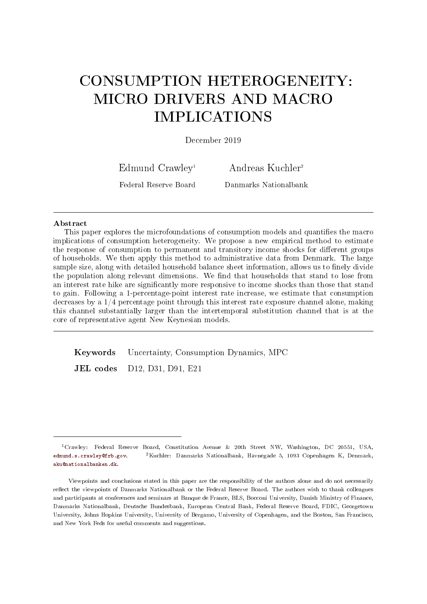# CONSUMPTION HETEROGENEITY: MICRO DRIVERS AND MACRO IMPLICATIONS

December 2019

Edmund Crawley<sup>1</sup>

Andreas Kuchler<sup>2</sup>

Federal Reserve Board

Danmarks Nationalbank

#### Abstract

This paper explores the microfoundations of consumption models and quantifies the macro implications of consumption heterogeneity. We propose a new empirical method to estimate the response of consumption to permanent and transitory income shocks for different groups of households. We then apply this method to administrative data from Denmark. The large sample size, along with detailed household balance sheet information, allows us to finely divide the population along relevant dimensions. We find that households that stand to lose from an interest rate hike are signicantly more responsive to income shocks than those that stand to gain. Following a 1-percentage-point interest rate increase, we estimate that consumption decreases by a 1/4 percentage point through this interest rate exposure channel alone, making this channel substantially larger than the intertemporal substitution channel that is at the core of representative agent New Keynesian models.

Keywords Uncertainty, Consumption Dynamics, MPC

JEL codes D12, D31, D91, E21

<sup>1</sup>Crawley: Federal Reserve Board, Constitution Avenue & 20th Street NW, Washington, DC 20551, USA, [edmund.s.crawley@frb.gov.](mailto:edmund.s.crawley@frb.gov)  $2$ Kuchler: Danmarks Nationalbank, Havnegade 5, 1093 Copenhagen K, Denmark, [aku@nationalbanken.dk.](mailto:aku@nationalbanken.dk)

Viewpoints and conclusions stated in this paper are the responsibility of the authors alone and do not necessarily reflect the viewpoints of Danmarks Nationalbank or the Federal Reserve Board. The authors wish to thank colleagues and participants at conferences and seminars at Banque de France, BLS, Bocconi University, Danish Ministry of Finance, Danmarks Nationalbank, Deutsche Bundesbank, European Central Bank, Federal Reserve Board, FDIC, Georgetown University, Johns Hopkins University, University of Bergamo, University of Copenhagen, and the Boston, San Francisco, and New York Feds for useful comments and suggestions.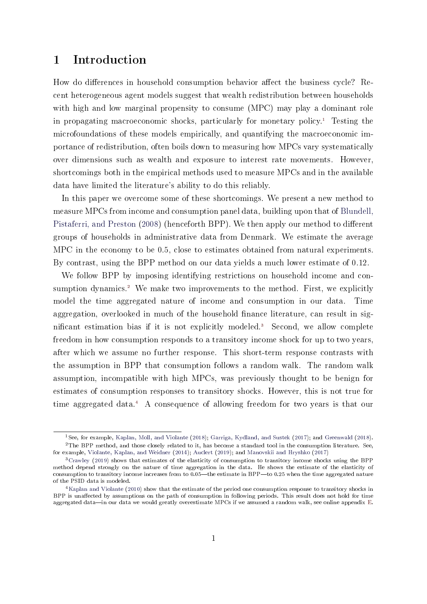## 1 Introduction

How do differences in household consumption behavior affect the business cycle? Recent heterogeneous agent models suggest that wealth redistribution between households with high and low marginal propensity to consume (MPC) may play a dominant role in propagating macroeconomic shocks, particularly for monetary policy.<sup>[1](#page-1-0)</sup> Testing the microfoundations of these models empirically, and quantifying the macroeconomic importance of redistribution, often boils down to measuring how MPCs vary systematically over dimensions such as wealth and exposure to interest rate movements. However, shortcomings both in the empirical methods used to measure MPCs and in the available data have limited the literature's ability to do this reliably.

In this paper we overcome some of these shortcomings. We present a new method to measure MPCs from income and consumption panel data, building upon that of [Blundell,](#page-39-0) [Pistaferri, and Preston](#page-39-0) [\(2008\)](#page-39-0) (henceforth BPP). We then apply our method to different groups of households in administrative data from Denmark. We estimate the average MPC in the economy to be 0.5, close to estimates obtained from natural experiments. By contrast, using the BPP method on our data yields a much lower estimate of 0.12.

We follow BPP by imposing identifying restrictions on household income and con-sumption dynamics.<sup>[2](#page-1-1)</sup> We make two improvements to the method. First, we explicitly model the time aggregated nature of income and consumption in our data. Time aggregation, overlooked in much of the household finance literature, can result in sig-nificant estimation bias if it is not explicitly modeled.<sup>[3](#page-1-2)</sup> Second, we allow complete freedom in how consumption responds to a transitory income shock for up to two years, after which we assume no further response. This short-term response contrasts with the assumption in BPP that consumption follows a random walk. The random walk assumption, incompatible with high MPCs, was previously thought to be benign for estimates of consumption responses to transitory shocks. However, this is not true for time aggregated data.[4](#page-1-3) A consequence of allowing freedom for two years is that our

<span id="page-1-1"></span><span id="page-1-0"></span><sup>1</sup>See, for example, [Kaplan, Moll, and Violante](#page-42-0) [\(2018\)](#page-42-0); [Garriga, Kydland, and Sustek](#page-41-0) [\(2017\)](#page-41-0); and [Greenwald](#page-41-1) [\(2018\)](#page-41-1).  $2$ The BPP method, and those closely related to it, has become a standard tool in the consumption literature. See, for example, [Violante, Kaplan, and Weidner](#page-44-0) [\(2014\)](#page-44-0); [Auclert](#page-38-0) [\(2019\)](#page-38-0); and [Manovskii and Hryshko](#page-43-0) [\(2017\)](#page-43-0)

<span id="page-1-2"></span><sup>3</sup>[Crawley](#page-40-0) [\(2019\)](#page-40-0) shows that estimates of the elasticity of consumption to transitory income shocks using the BPP method depend strongly on the nature of time aggregation in the data. He shows the estimate of the elasticity of consumption to transitory income increases from to 0.05-the estimate in BPP-to 0.25 when the time aggregated nature of the PSID data is modeled.

<span id="page-1-3"></span><sup>&</sup>lt;sup>4</sup>[Kaplan and Violante](#page-42-1) [\(2010\)](#page-42-1) show that the estimate of the period one consumption response to transitory shocks in BPP is unaffected by assumptions on the path of consumption in following periods. This result does not hold for time aggregated data—in our data we would greatly overestimate MPCs if we assumed a random walk, see online appendix [E.](#page-51-0)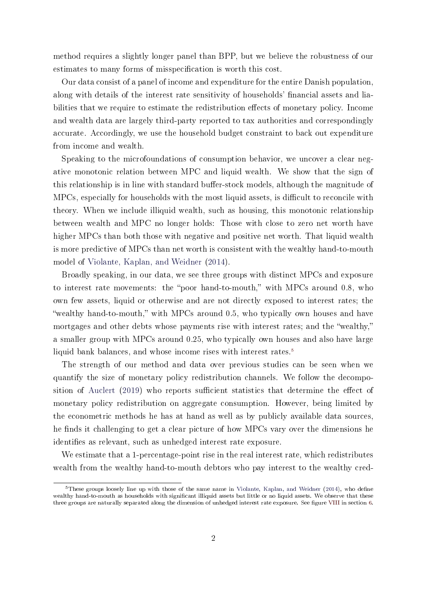method requires a slightly longer panel than BPP, but we believe the robustness of our estimates to many forms of misspecification is worth this cost.

Our data consist of a panel of income and expenditure for the entire Danish population, along with details of the interest rate sensitivity of households' financial assets and liabilities that we require to estimate the redistribution effects of monetary policy. Income and wealth data are largely third-party reported to tax authorities and correspondingly accurate. Accordingly, we use the household budget constraint to back out expenditure from income and wealth.

Speaking to the microfoundations of consumption behavior, we uncover a clear negative monotonic relation between MPC and liquid wealth. We show that the sign of this relationship is in line with standard buffer-stock models, although the magnitude of MPCs, especially for households with the most liquid assets, is difficult to reconcile with theory. When we include illiquid wealth, such as housing, this monotonic relationship between wealth and MPC no longer holds: Those with close to zero net worth have higher MPCs than both those with negative and positive net worth. That liquid wealth is more predictive of MPCs than net worth is consistent with the wealthy hand-to-mouth model of [Violante, Kaplan, and Weidner](#page-44-0) [\(2014\)](#page-44-0).

Broadly speaking, in our data, we see three groups with distinct MPCs and exposure to interest rate movements: the "poor hand-to-mouth," with MPCs around 0.8, who own few assets, liquid or otherwise and are not directly exposed to interest rates; the "wealthy hand-to-mouth," with MPCs around  $0.5$ , who typically own houses and have mortgages and other debts whose payments rise with interest rates; and the "wealthy," a smaller group with MPCs around 0.25, who typically own houses and also have large liquid bank balances, and whose income rises with interest rates.<sup>[5](#page-2-0)</sup>

The strength of our method and data over previous studies can be seen when we quantify the size of monetary policy redistribution channels. We follow the decompo-sition of [Auclert](#page-38-0)  $(2019)$  who reports sufficient statistics that determine the effect of monetary policy redistribution on aggregate consumption. However, being limited by the econometric methods he has at hand as well as by publicly available data sources, he finds it challenging to get a clear picture of how MPCs vary over the dimensions he identifies as relevant, such as unhedged interest rate exposure.

We estimate that a 1-percentage-point rise in the real interest rate, which redistributes wealth from the wealthy hand-to-mouth debtors who pay interest to the wealthy cred-

<span id="page-2-0"></span> $5$ These groups loosely line up with those of the same name in [Violante, Kaplan, and Weidner](#page-44-0) [\(2014\)](#page-44-0), who define wealthy hand-to-mouth as households with significant illiquid assets but little or no liquid assets. We observe that these three groups are naturally separated along the dimension of unhedged interest rate exposure. See figure [VIII](#page-28-0) in section [6.](#page-23-0)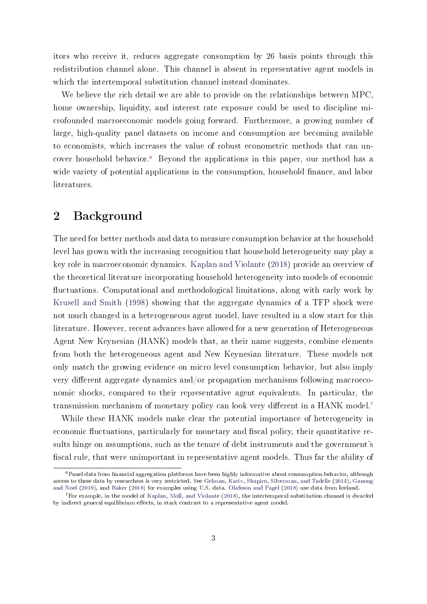itors who receive it, reduces aggregate consumption by 26 basis points through this redistribution channel alone. This channel is absent in representative agent models in which the intertemporal substitution channel instead dominates.

We believe the rich detail we are able to provide on the relationships between MPC, home ownership, liquidity, and interest rate exposure could be used to discipline microfounded macroeconomic models going forward. Furthermore, a growing number of large, high-quality panel datasets on income and consumption are becoming available to economists, which increases the value of robust econometric methods that can uncover household behavior.[6](#page-3-0) Beyond the applications in this paper, our method has a wide variety of potential applications in the consumption, household finance, and labor literatures.

### 2 Background

The need for better methods and data to measure consumption behavior at the household level has grown with the increasing recognition that household heterogeneity may play a key role in macroeconomic dynamics. [Kaplan and Violante](#page-42-2) [\(2018\)](#page-42-2) provide an overview of the theoretical literature incorporating household heterogeneity into models of economic uctuations. Computational and methodological limitations, along with early work by [Krusell and Smith](#page-42-3) [\(1998\)](#page-42-3) showing that the aggregate dynamics of a TFP shock were not much changed in a heterogeneous agent model, have resulted in a slow start for this literature. However, recent advances have allowed for a new generation of Heterogeneous Agent New Keynesian (HANK) models that, as their name suggests, combine elements from both the heterogeneous agent and New Keynesian literature. These models not only match the growing evidence on micro level consumption behavior, but also imply very different aggregate dynamics and/or propagation mechanisms following macroeconomic shocks, compared to their representative agent equivalents. In particular, the transmission mechanism of monetary policy can look very different in a HANK model.<sup>[7](#page-3-1)</sup>

While these HANK models make clear the potential importance of heterogeneity in economic fluctuations, particularly for monetary and fiscal policy, their quantitative results hinge on assumptions, such as the tenure of debt instruments and the government's fiscal rule, that were unimportant in representative agent models. Thus far the ability of

<span id="page-3-0"></span> $6$ Panel data from financial aggregation platforms have been highly informative about consumption behavior, although access to these data by researchers is very restricted. See [Gelman, Kariv, Shapiro, Silverman, and Tadelis](#page-41-2) [\(2014\)](#page-41-2), [Ganong](#page-40-1) [and Noel](#page-40-1) [\(2019\)](#page-40-1), and [Baker](#page-38-1) [\(2018\)](#page-38-1) for examples using U.S. data. [Olafsson and Pagel](#page-43-1) [\(2018\)](#page-43-1) use data from Iceland.

<span id="page-3-1"></span> $7$  For example, in the model of [Kaplan, Moll, and Violante](#page-42-0) [\(2018\)](#page-42-0), the intertemporal substitution channel is dwarfed by indirect general equilibrium effects, in stark contrast to a representative agent model.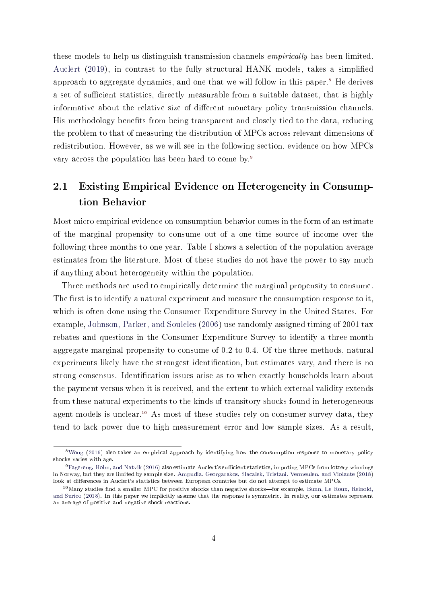these models to help us distinguish transmission channels empirically has been limited. [Auclert](#page-38-0) [\(2019\)](#page-38-0), in contrast to the fully structural HANK models, takes a simplified approach to aggregate dynamics, and one that we will follow in this paper.<sup>[8](#page-4-0)</sup> He derives a set of sufficient statistics, directly measurable from a suitable dataset, that is highly informative about the relative size of different monetary policy transmission channels. His methodology benefits from being transparent and closely tied to the data, reducing the problem to that of measuring the distribution of MPCs across relevant dimensions of redistribution. However, as we will see in the following section, evidence on how MPCs vary across the population has been hard to come by.<sup>[9](#page-4-1)</sup>

## 2.1 Existing Empirical Evidence on Heterogeneity in Consumption Behavior

Most micro empirical evidence on consumption behavior comes in the form of an estimate of the marginal propensity to consume out of a one time source of income over the following three months to one year. Table [I](#page-6-0) shows a selection of the population average estimates from the literature. Most of these studies do not have the power to say much if anything about heterogeneity within the population.

Three methods are used to empirically determine the marginal propensity to consume. The first is to identify a natural experiment and measure the consumption response to it, which is often done using the Consumer Expenditure Survey in the United States. For example, [Johnson, Parker, and Souleles](#page-42-4) [\(2006\)](#page-42-4) use randomly assigned timing of 2001 tax rebates and questions in the Consumer Expenditure Survey to identify a three-month aggregate marginal propensity to consume of 0.2 to 0.4. Of the three methods, natural experiments likely have the strongest identification, but estimates vary, and there is no strong consensus. Identification issues arise as to when exactly households learn about the payment versus when it is received, and the extent to which external validity extends from these natural experiments to the kinds of transitory shocks found in heterogeneous agent models is unclear.<sup>[10](#page-4-2)</sup> As most of these studies rely on consumer survey data, they tend to lack power due to high measurement error and low sample sizes. As a result,

<span id="page-4-0"></span><sup>8</sup>[Wong](#page-44-1) [\(2016\)](#page-44-1) also takes an empirical approach by identifying how the consumption response to monetary policy shocks varies with age.

<span id="page-4-1"></span><sup>&</sup>lt;sup>9</sup>[Fagereng, Holm, and Natvik](#page-40-2) [\(2016\)](#page-40-2) also estimate Auclert's sufficient statistics, imputing MPCs from lottery winnings in Norway, but they are limited by sample size. [Ampudia, Georgarakos, Slacalek, Tristani, Vermeulen, and Violante](#page-38-2) [\(2018\)](#page-38-2) look at differences in Auclert's statistics between European countries but do not attempt to estimate MPCs.

<span id="page-4-2"></span> $10$ Many studies find a smaller MPC for positive shocks than negative shocks—for example, [Bunn, Le Roux, Reinold,](#page-39-1) [and Surico](#page-39-1) [\(2018\)](#page-39-1). In this paper we implicitly assume that the response is symmetric. In reality, our estimates represent an average of positive and negative shock reactions.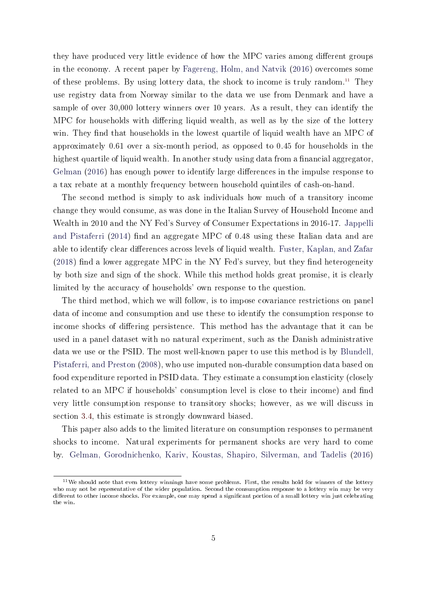they have produced very little evidence of how the MPC varies among different groups in the economy. A recent paper by [Fagereng, Holm, and Natvik](#page-40-2) [\(2016\)](#page-40-2) overcomes some of these problems. By using lottery data, the shock to income is truly random.<sup>[11](#page-5-0)</sup> They use registry data from Norway similar to the data we use from Denmark and have a sample of over 30,000 lottery winners over 10 years. As a result, they can identify the MPC for households with differing liquid wealth, as well as by the size of the lottery win. They find that households in the lowest quartile of liquid wealth have an MPC of approximately 0.61 over a six-month period, as opposed to 0.45 for households in the highest quartile of liquid wealth. In another study using data from a financial aggregator, [Gelman](#page-41-3) [\(2016\)](#page-41-3) has enough power to identify large differences in the impulse response to a tax rebate at a monthly frequency between household quintiles of cash-on-hand.

The second method is simply to ask individuals how much of a transitory income change they would consume, as was done in the Italian Survey of Household Income and Wealth in 2010 and the NY Fed's Survey of Consumer Expectations in 2016-17. [Jappelli](#page-42-5) [and Pistaferri](#page-42-5) [\(2014\)](#page-42-5) find an aggregate MPC of 0.48 using these Italian data and are able to identify clear differences across levels of liquid wealth. [Fuster, Kaplan, and Zafar](#page-40-3)  $(2018)$  find a lower aggregate MPC in the NY Fed's survey, but they find heterogeneity by both size and sign of the shock. While this method holds great promise, it is clearly limited by the accuracy of households' own response to the question.

The third method, which we will follow, is to impose covariance restrictions on panel data of income and consumption and use these to identify the consumption response to income shocks of differing persistence. This method has the advantage that it can be used in a panel dataset with no natural experiment, such as the Danish administrative data we use or the PSID. The most well-known paper to use this method is by [Blundell,](#page-39-0) [Pistaferri, and Preston](#page-39-0) [\(2008\)](#page-39-0), who use imputed non-durable consumption data based on food expenditure reported in PSID data. They estimate a consumption elasticity (closely related to an MPC if households' consumption level is close to their income) and find very little consumption response to transitory shocks; however, as we will discuss in section [3.4,](#page-14-0) this estimate is strongly downward biased.

This paper also adds to the limited literature on consumption responses to permanent shocks to income. Natural experiments for permanent shocks are very hard to come by. [Gelman, Gorodnichenko, Kariv, Koustas, Shapiro, Silverman, and Tadelis](#page-41-4) [\(2016\)](#page-41-4)

<span id="page-5-0"></span><sup>&</sup>lt;sup>11</sup>We should note that even lottery winnings have some problems. First, the results hold for winners of the lottery who may not be representative of the wider population. Second the consumption response to a lottery win may be very different to other income shocks. For example, one may spend a significant portion of a small lottery win just celebrating the win.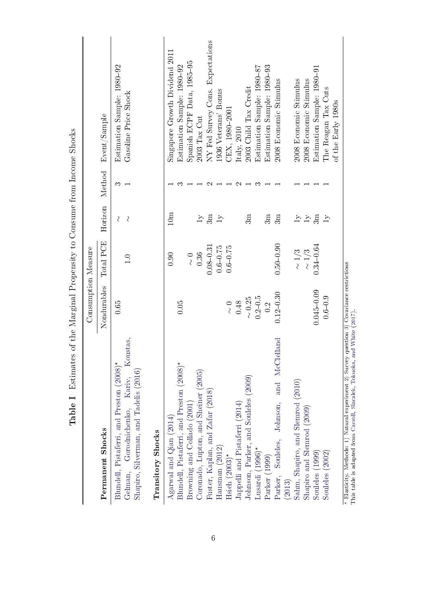<span id="page-6-0"></span>

|                                                                                                                                     | of the Marginal Propensity to Consume from Income Shocks<br>Consumption Measure |                     |                                                         |        |                                                    |
|-------------------------------------------------------------------------------------------------------------------------------------|---------------------------------------------------------------------------------|---------------------|---------------------------------------------------------|--------|----------------------------------------------------|
| Permanent Shocks                                                                                                                    | Nondurables                                                                     | Total PCE           | Horizon                                                 | Method | Event/Sample                                       |
| Koustas,<br>Blundell, Pistaferri, and Preston (2008)*<br>Shapiro, Silverman, and Tadelis (2016)<br>Gorodnichenko, Kariv,<br>Gelman, | 0.65                                                                            | $\frac{0}{1}$       | $\overline{\mathcal{C}}$<br>$\mathcal{S}_{\mathcal{S}}$ | က      | Estimation Sample: 1980-92<br>Gasoline Price Shock |
| Transitory Shocks                                                                                                                   |                                                                                 |                     |                                                         |        |                                                    |
| Agarwal and $Qian(2014)$                                                                                                            |                                                                                 | 0.90                | 10 <sub>m</sub>                                         |        | Singapore Growth Dividend 2011                     |
| Blundell, Pistaferri, and Preston (2008)*                                                                                           | 0.05                                                                            |                     |                                                         | ౧      | Estimation Sample: 1980–92                         |
| Browning and Collado (2001)                                                                                                         |                                                                                 | $\frac{0}{\lambda}$ |                                                         |        | Spanish ECPF Data, 1985–95                         |
| Coronado, Lupton, and Sheiner (2005)                                                                                                |                                                                                 | 0.36                | $\overline{1}$                                          |        | $2003$ Tax Cut                                     |
| Fuster, Kaplan, and Zafar (2018)                                                                                                    |                                                                                 | $0.08 - 0.31$       | 3m                                                      | C      | NY Fed Survey Cons. Expectations                   |
| Hausman (2012)                                                                                                                      |                                                                                 | $0.6 - 0.75$        | $1\mathrm{y}$                                           |        | 1936 Veterans' Bonus                               |
| Hsieh $(2003)^*$                                                                                                                    | $\frac{0}{\lambda}$                                                             | $0.6 - 0.75$        |                                                         |        | CEX, 1980-2001                                     |
| Jappelli and Pistaferri (2014)                                                                                                      | 0.48                                                                            |                     |                                                         | $\sim$ | (taly, 2010                                        |
| Johnson, Parker, and Souleles (2009)                                                                                                | $\sim 0.25$                                                                     |                     | 3m                                                      |        | 2003 Child Tax Credit                              |
| Lusardi (1996)*                                                                                                                     | $0.2 - 0.5$                                                                     |                     |                                                         | ಣ      | Estimation Sample: 1980-87                         |
| Parker (1999)                                                                                                                       | 0.2                                                                             |                     | 3m                                                      |        | Estimation Sample: 1980-93                         |
| Parker, Souleles, Johnson, and McClelland                                                                                           | $0.12 - 0.30$                                                                   | $0.50 - 0.90$       | 3m                                                      |        | 2008 Economic Stimulus                             |
| (2013)                                                                                                                              |                                                                                 |                     |                                                         |        |                                                    |
| Sahm, Shapiro, and Slemrod (2010)                                                                                                   |                                                                                 | $\sim 1/3$          | $\overline{1}$                                          |        | 2008 Economic Stimulus                             |
| Shapiro and Slemrod (2009)                                                                                                          |                                                                                 | $\sim 1/3$          | $\Gamma$                                                |        | 2008 Economic Stimulus                             |
| Souleles (1999)                                                                                                                     | $0.045 - 0.09$                                                                  | $0.34 - 0.64$       | 3m                                                      |        | Estimation Sample: 1980–91                         |
| Souleles $(2002)$                                                                                                                   | $0.6 - 0.9$                                                                     |                     | $1\mathrm{y}$                                           |        | The Reagan Tax Cuts                                |
|                                                                                                                                     |                                                                                 |                     |                                                         |        | of the Early 1980s                                 |
| * Elasticity. Methods: 1) Natural experiment 2) Survey question 3) Covariance restrictions                                          |                                                                                 |                     |                                                         |        |                                                    |

rins table is adapted from Carroll, Slacalek, Tokuoka, and White (2017).<br>This table is adapted from Carroll, Slacalek, Tokuoka, and White (2017). This table is adapted from Carroll, Slacalek, [Tokuoka,](#page-39-3) and White [\(2017\)](#page-39-3).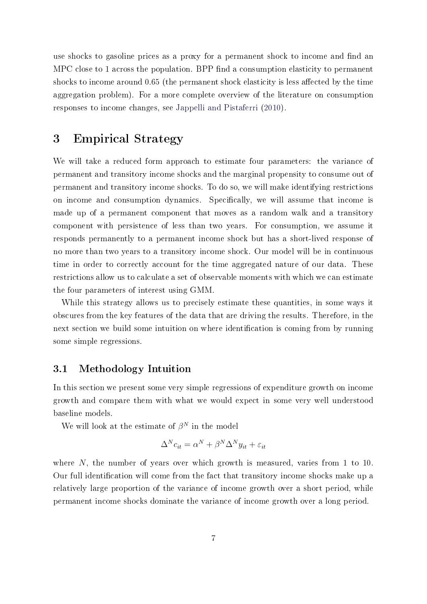use shocks to gasoline prices as a proxy for a permanent shock to income and find an MPC close to 1 across the population. BPP find a consumption elasticity to permanent shocks to income around 0.65 (the permanent shock elasticity is less affected by the time aggregation problem). For a more complete overview of the literature on consumption responses to income changes, see [Jappelli and Pistaferri](#page-42-8) [\(2010\)](#page-42-8).

## 3 Empirical Strategy

We will take a reduced form approach to estimate four parameters: the variance of permanent and transitory income shocks and the marginal propensity to consume out of permanent and transitory income shocks. To do so, we will make identifying restrictions on income and consumption dynamics. Specifically, we will assume that income is made up of a permanent component that moves as a random walk and a transitory component with persistence of less than two years. For consumption, we assume it responds permanently to a permanent income shock but has a short-lived response of no more than two years to a transitory income shock. Our model will be in continuous time in order to correctly account for the time aggregated nature of our data. These restrictions allow us to calculate a set of observable moments with which we can estimate the four parameters of interest using GMM.

While this strategy allows us to precisely estimate these quantities, in some ways it obscures from the key features of the data that are driving the results. Therefore, in the next section we build some intuition on where identification is coming from by running some simple regressions.

### 3.1 Methodology Intuition

In this section we present some very simple regressions of expenditure growth on income growth and compare them with what we would expect in some very well understood baseline models.

We will look at the estimate of  $\beta^N$  in the model

$$
\Delta^N c_{it} = \alpha^N + \beta^N \Delta^N y_{it} + \varepsilon_{it}
$$

where N, the number of years over which growth is measured, varies from 1 to 10. Our full identification will come from the fact that transitory income shocks make up a relatively large proportion of the variance of income growth over a short period, while permanent income shocks dominate the variance of income growth over a long period.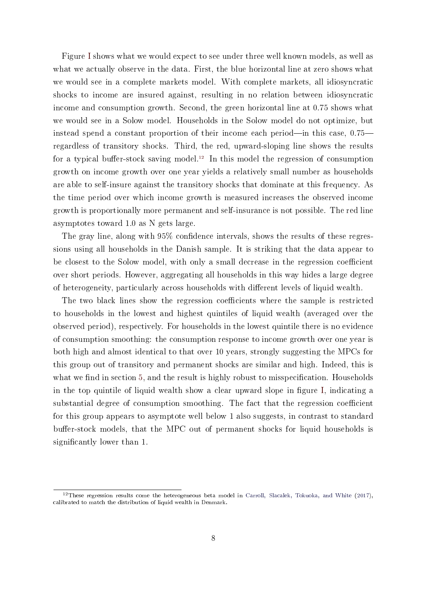Figure [I](#page-9-0) shows what we would expect to see under three well known models, as well as what we actually observe in the data. First, the blue horizontal line at zero shows what we would see in a complete markets model. With complete markets, all idiosyncratic shocks to income are insured against, resulting in no relation between idiosyncratic income and consumption growth. Second, the green horizontal line at 0.75 shows what we would see in a Solow model. Households in the Solow model do not optimize, but instead spend a constant proportion of their income each period—in this case,  $0.75$  regardless of transitory shocks. Third, the red, upward-sloping line shows the results for a typical buffer-stock saving model.<sup>[12](#page-8-0)</sup> In this model the regression of consumption growth on income growth over one year yields a relatively small number as households are able to self-insure against the transitory shocks that dominate at this frequency. As the time period over which income growth is measured increases the observed income growth is proportionally more permanent and self-insurance is not possible. The red line asymptotes toward 1.0 as N gets large.

The gray line, along with  $95\%$  confidence intervals, shows the results of these regressions using all households in the Danish sample. It is striking that the data appear to be closest to the Solow model, with only a small decrease in the regression coefficient over short periods. However, aggregating all households in this way hides a large degree of heterogeneity, particularly across households with different levels of liquid wealth.

The two black lines show the regression coefficients where the sample is restricted to households in the lowest and highest quintiles of liquid wealth (averaged over the observed period), respectively. For households in the lowest quintile there is no evidence of consumption smoothing: the consumption response to income growth over one year is both high and almost identical to that over 10 years, strongly suggesting the MPCs for this group out of transitory and permanent shocks are similar and high. Indeed, this is what we find in section [5,](#page-20-0) and the result is highly robust to misspecification. Households in the top quintile of liquid wealth show a clear upward slope in figure [I,](#page-9-0) indicating a substantial degree of consumption smoothing. The fact that the regression coefficient for this group appears to asymptote well below 1 also suggests, in contrast to standard buffer-stock models, that the MPC out of permanent shocks for liquid households is significantly lower than 1.

<span id="page-8-1"></span><span id="page-8-0"></span><sup>&</sup>lt;sup>12</sup>These regression results come the heterogeneous beta model in [Carroll, Slacalek, Tokuoka, and White](#page-39-3) [\(2017\)](#page-39-3), calibrated to match the distribution of liquid wealth in Denmark.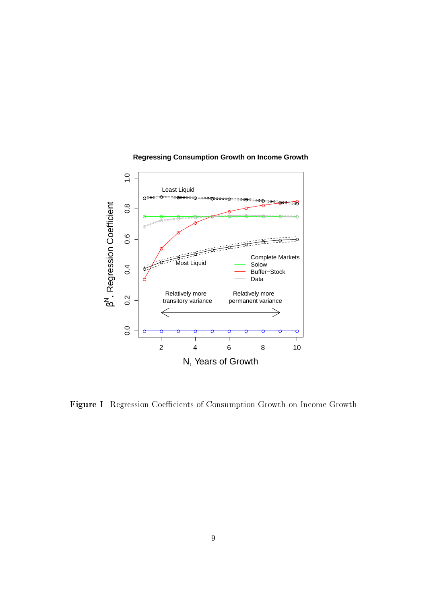<span id="page-9-0"></span>

#### **Regressing Consumption Growth on Income Growth**

Figure I Regression Coefficients of Consumption Growth on Income Growth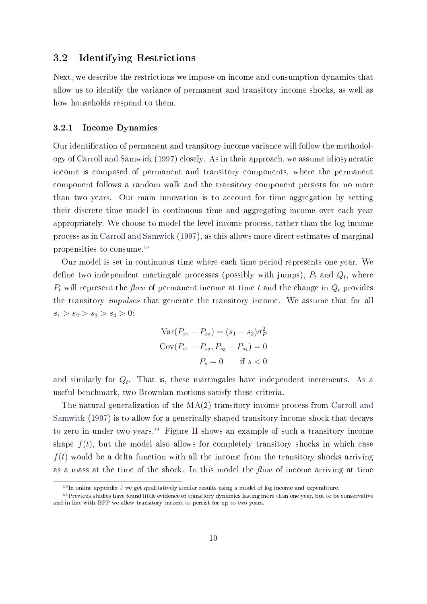#### 3.2 Identifying Restrictions

Next, we describe the restrictions we impose on income and consumption dynamics that allow us to identify the variance of permanent and transitory income shocks, as well as how households respond to them.

#### 3.2.1 Income Dynamics

Our identification of permanent and transitory income variance will follow the methodology of [Carroll and Samwick](#page-39-4) [\(1997\)](#page-39-4) closely. As in their approach, we assume idiosyncratic income is composed of permanent and transitory components, where the permanent component follows a random walk and the transitory component persists for no more than two years. Our main innovation is to account for time aggregation by setting their discrete time model in continuous time and aggregating income over each year appropriately. We choose to model the level income process, rather than the log income process as in [Carroll and Samwick](#page-39-4) [\(1997\)](#page-39-4), as this allows more direct estimates of marginal propensities to consume.[13](#page-10-0)

Our model is set in continuous time where each time period represents one year. We define two independent martingale processes (possibly with jumps),  $P_t$  and  $Q_t$ , where  $P_t$  will represent the flow of permanent income at time t and the change in  $Q_t$  provides the transitory impulses that generate the transitory income. We assume that for all  $s_1 > s_2 > s_3 > s_4 > 0$ :

$$
Var(P_{s_1} - P_{s_2}) = (s_1 - s_2)\sigma_P^2
$$
  
\n
$$
Cov(P_{s_1} - P_{s_2}, P_{s_3} - P_{s_4}) = 0
$$
  
\n
$$
P_s = 0 \quad \text{if } s < 0
$$

and similarly for  $Q_t$ . That is, these martingales have independent increments. As a useful benchmark, two Brownian motions satisfy these criteria.

The natural generalization of the  $MA(2)$  transitory income process from [Carroll and](#page-39-4) [Samwick](#page-39-4) [\(1997\)](#page-39-4) is to allow for a generically shaped transitory income shock that decays to zero in under two years.<sup>[14](#page-10-1)</sup> Figure [II](#page-11-0) shows an example of such a transitory income shape  $f(t)$ , but the model also allows for completely transitory shocks in which case  $f(t)$  would be a delta function with all the income from the transitory shocks arriving as a mass at the time of the shock. In this model the  $flow$  of income arriving at time

<span id="page-10-1"></span><span id="page-10-0"></span><sup>&</sup>lt;sup>13</sup>In online appendix [J](#page-61-0) we get qualitatively similar results using a model of log income and expenditure.

 $14$  Previous studies have found little evidence of transitory dynamics lasting more than one year, but to be conservative and in line with BPP we allow transitory income to persist for up to two years.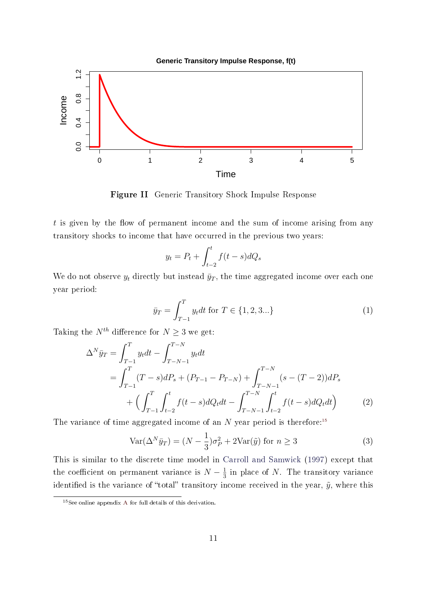**Generic Transitory Impulse Response, f(t)**

<span id="page-11-0"></span>

Figure II Generic Transitory Shock Impulse Response

 $t$  is given by the flow of permanent income and the sum of income arising from any transitory shocks to income that have occurred in the previous two years:

$$
y_t = P_t + \int_{t-2}^t f(t-s)dQ_s
$$

We do not observe  $y_t$  directly but instead  $\bar{y}_T$ , the time aggregated income over each one year period:

<span id="page-11-2"></span>
$$
\bar{y}_T = \int_{T-1}^T y_t dt \text{ for } T \in \{1, 2, 3...\}
$$
 (1)

Taking the  $N^{th}$  difference for  $N \geq 3$  we get:

$$
\Delta^N \bar{y}_T = \int_{T-1}^T y_t dt - \int_{T-N-1}^{T-N} y_t dt
$$
  
= 
$$
\int_{T-1}^T (T-s) dP_s + (P_{T-1} - P_{T-N}) + \int_{T-N-1}^{T-N} (s - (T-2)) dP_s
$$
  
+ 
$$
\left( \int_{T-1}^T \int_{t-2}^t f(t-s) dQ_t dt - \int_{T-N-1}^{T-N} \int_{t-2}^t f(t-s) dQ_t dt \right)
$$
 (2)

The variance of time aggregated income of an N year period is therefore:<sup>[15](#page-11-1)</sup>

$$
\text{Var}(\Delta^N \bar{y}_T) = (N - \frac{1}{3})\sigma_P^2 + 2\text{Var}(\tilde{y}) \text{ for } n \ge 3
$$
 (3)

This is similar to the discrete time model in [Carroll and Samwick](#page-39-4) [\(1997\)](#page-39-4) except that the coefficient on permanent variance is  $N-\frac{1}{3}$  $\frac{1}{3}$  in place of N. The transitory variance identified is the variance of "total" transitory income received in the year,  $\tilde{y}$ , where this

<span id="page-11-1"></span><sup>15</sup>See online appendix [A](#page-45-0) for full details of this derivation.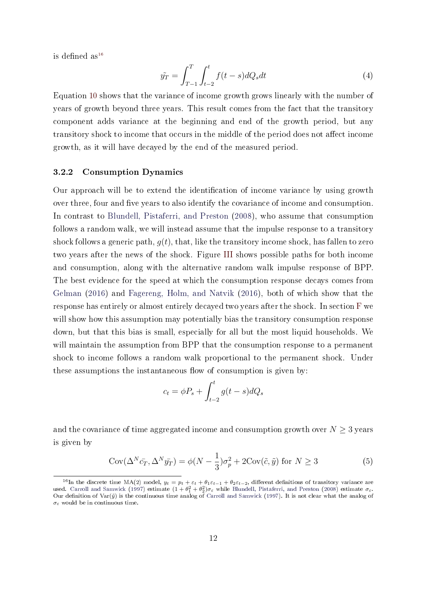is defined as<sup>[16](#page-12-0)</sup>

<span id="page-12-1"></span>
$$
\tilde{y_T} = \int_{T-1}^{T} \int_{t-2}^{t} f(t-s) dQ_s dt
$$
\n(4)

Equation [10](#page-45-1) shows that the variance of income growth grows linearly with the number of years of growth beyond three years. This result comes from the fact that the transitory component adds variance at the beginning and end of the growth period, but any transitory shock to income that occurs in the middle of the period does not affect income growth, as it will have decayed by the end of the measured period.

#### 3.2.2 Consumption Dynamics

Our approach will be to extend the identification of income variance by using growth over three, four and five years to also identify the covariance of income and consumption. In contrast to [Blundell, Pistaferri, and Preston](#page-39-0) [\(2008\)](#page-39-0), who assume that consumption follows a random walk, we will instead assume that the impulse response to a transitory shock follows a generic path,  $q(t)$ , that, like the transitory income shock, has fallen to zero two years after the news of the shock. Figure [III](#page-13-0) shows possible paths for both income and consumption, along with the alternative random walk impulse response of BPP. The best evidence for the speed at which the consumption response decays comes from [Gelman](#page-41-3) [\(2016\)](#page-41-3) and [Fagereng, Holm, and Natvik](#page-40-2) [\(2016\)](#page-40-2), both of which show that the response has entirely or almost entirely decayed two years after the shock. In section [F](#page-52-0) we will show how this assumption may potentially bias the transitory consumption response down, but that this bias is small, especially for all but the most liquid households. We will maintain the assumption from BPP that the consumption response to a permanent shock to income follows a random walk proportional to the permanent shock. Under these assumptions the instantaneous flow of consumption is given by:

$$
c_t = \phi P_s + \int_{t-2}^t g(t-s)dQ_s
$$

and the covariance of time aggregated income and consumption growth over  $N \geq 3$  years is given by

$$
Cov(\Delta^N \bar{c}_T, \Delta^N \bar{y}_T) = \phi(N - \frac{1}{3})\sigma_p^2 + 2Cov(\tilde{c}, \tilde{y}) \text{ for } N \ge 3
$$
 (5)

<span id="page-12-0"></span><sup>&</sup>lt;sup>16</sup>In the discrete time MA(2) model,  $y_t = p_t + \varepsilon_t + \theta_1 \varepsilon_{t-1} + \theta_2 \varepsilon_{t-2}$ , different definitions of transitory variance are used. [Carroll and Samwick](#page-39-4) [\(1997\)](#page-39-4) estimate  $(1+\theta_1^2+\theta_2^2)\sigma_\varepsilon$  while [Blundell, Pistaferri, and Preston](#page-39-0) [\(2008\)](#page-39-0) estimate  $\sigma_\varepsilon$ . Our definition of Var( $\tilde{y}$ ) is the continuous time analog of [Carroll and Samwick](#page-39-4) [\(1997\)](#page-39-4). It is not clear what the analog of  $\sigma_{\varepsilon}$  would be in continuous time.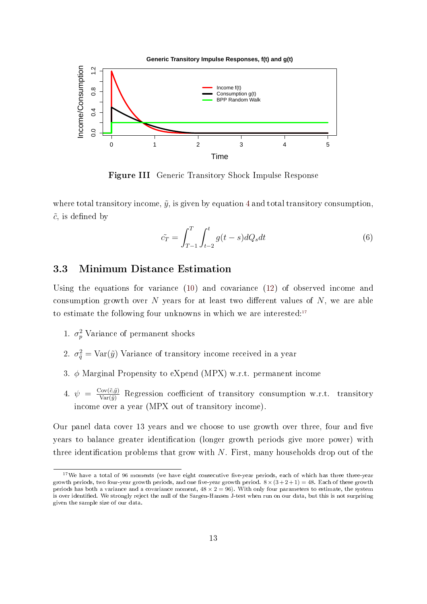<span id="page-13-0"></span>

Figure III Generic Transitory Shock Impulse Response

where total transitory income,  $\tilde{y}$ , is given by equation [4](#page-12-1) and total transitory consumption,  $\tilde{c}$ , is defined by

$$
\tilde{c}_T = \int_{T-1}^T \int_{t-2}^t g(t-s)dQ_s dt \tag{6}
$$

### 3.3 Minimum Distance Estimation

Using the equations for variance [\(10\)](#page-45-1) and covariance [\(12\)](#page-45-2) of observed income and consumption growth over N years for at least two different values of  $N$ , we are able to estimate the following four unknowns in which we are interested:<sup>[17](#page-13-1)</sup>

- 1.  $\sigma_p^2$  Variance of permanent shocks
- 2.  $\sigma_{\tilde{q}}^2 = \text{Var}(\tilde{y})$  Variance of transitory income received in a year
- 3. φ Marginal Propensity to eXpend (MPX) w.r.t. permanent income
- 4.  $\psi = \frac{\text{Cov}(\tilde{c}, \tilde{y})}{\text{Var}(\tilde{y})}$  Regression coefficient of transitory consumption w.r.t. transitory income over a year (MPX out of transitory income).

Our panel data cover 13 years and we choose to use growth over three, four and five years to balance greater identification (longer growth periods give more power) with three identification problems that grow with  $N$ . First, many households drop out of the

<span id="page-13-1"></span><sup>&</sup>lt;sup>17</sup>We have a total of 96 moments (we have eight consecutive five-year periods, each of which has three three-year growth periods, two four-year growth periods, and one five-year growth period.  $8 \times (3 + 2 + 1) = 48$ . Each of these growth periods has both a variance and a covariance moment,  $48 \times 2 = 96$ ). With only four parameters to estimate, the system is over identied. We strongly reject the null of the Sargen-Hansen J-test when run on our data, but this is not surprising given the sample size of our data.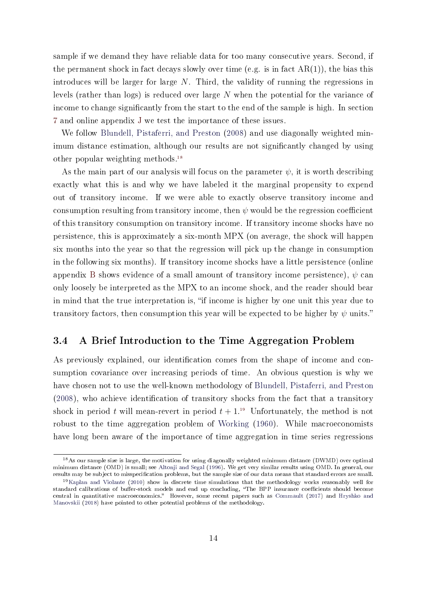sample if we demand they have reliable data for too many consecutive years. Second, if the permanent shock in fact decays slowly over time (e.g. is in fact  $AR(1)$ ), the bias this introduces will be larger for large  $N$ . Third, the validity of running the regressions in levels (rather than logs) is reduced over large N when the potential for the variance of income to change significantly from the start to the end of the sample is high. In section [7](#page-32-0) and online appendix [J](#page-61-0) we test the importance of these issues.

We follow [Blundell, Pistaferri, and Preston](#page-39-0) [\(2008\)](#page-39-0) and use diagonally weighted minimum distance estimation, although our results are not signicantly changed by using other popular weighting methods.[18](#page-14-1)

As the main part of our analysis will focus on the parameter  $\psi$ , it is worth describing exactly what this is and why we have labeled it the marginal propensity to expend out of transitory income. If we were able to exactly observe transitory income and consumption resulting from transitory income, then  $\psi$  would be the regression coefficient of this transitory consumption on transitory income. If transitory income shocks have no persistence, this is approximately a six-month MPX (on average, the shock will happen six months into the year so that the regression will pick up the change in consumption in the following six months). If transitory income shocks have a little persistence (online appendix [B](#page-46-0) shows evidence of a small amount of transitory income persistence),  $\psi$  can only loosely be interpreted as the MPX to an income shock, and the reader should bear in mind that the true interpretation is, "if income is higher by one unit this year due to transitory factors, then consumption this year will be expected to be higher by  $\psi$  units."

### <span id="page-14-0"></span>3.4 A Brief Introduction to the Time Aggregation Problem

As previously explained, our identification comes from the shape of income and consumption covariance over increasing periods of time. An obvious question is why we have chosen not to use the well-known methodology of [Blundell, Pistaferri, and Preston](#page-39-0)  $(2008)$ , who achieve identification of transitory shocks from the fact that a transitory shock in period t will mean-revert in period  $t + 1$ .<sup>[19](#page-14-2)</sup> Unfortunately, the method is not robust to the time aggregation problem of [Working](#page-44-6) [\(1960\)](#page-44-6). While macroeconomists have long been aware of the importance of time aggregation in time series regressions

<span id="page-14-1"></span><sup>18</sup>As our sample size is large, the motivation for using diagonally weighted minimum distance (DWMD) over optimal minimum distance (OMD) is small; see [Altonji and Segal](#page-38-4) [\(1996\)](#page-38-4). We get very similar results using OMD. In general, our results may be subject to misspecification problems, but the sample size of our data means that standard errors are small.

<span id="page-14-2"></span><sup>19</sup>[Kaplan and Violante](#page-42-1) [\(2010\)](#page-42-1) show in discrete time simulations that the methodology works reasonably well for standard calibrations of buffer-stock models and end up concluding, "The BPP insurance coefficients should become central in quantitative macroeconomics." However, some recent papers such as [Commault](#page-40-5) [\(2017\)](#page-40-5) and [Hryshko and](#page-41-6) [Manovskii](#page-41-6) [\(2018\)](#page-41-6) have pointed to other potential problems of the methodology.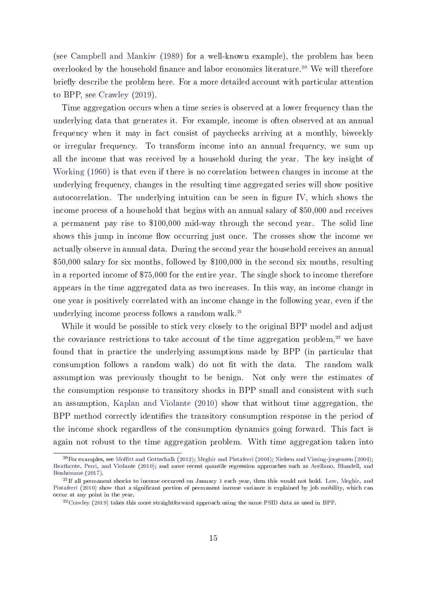(see [Campbell and Mankiw](#page-39-5) [\(1989\)](#page-39-5) for a well-known example), the problem has been overlooked by the household finance and labor economics literature.<sup>[20](#page-15-0)</sup> We will therefore briefly describe the problem here. For a more detailed account with particular attention to BPP, see [Crawley](#page-40-0) [\(2019\)](#page-40-0).

Time aggregation occurs when a time series is observed at a lower frequency than the underlying data that generates it. For example, income is often observed at an annual frequency when it may in fact consist of paychecks arriving at a monthly, biweekly or irregular frequency. To transform income into an annual frequency, we sum up all the income that was received by a household during the year. The key insight of [Working](#page-44-6) [\(1960\)](#page-44-6) is that even if there is no correlation between changes in income at the underlying frequency, changes in the resulting time aggregated series will show positive autocorrelation. The underlying intuition can be seen in figure [IV,](#page-16-0) which shows the income process of a household that begins with an annual salary of \$50,000 and receives a permanent pay rise to \$100,000 mid-way through the second year. The solid line shows this jump in income flow occurring just once. The crosses show the income we actually observe in annual data. During the second year the household receives an annual \$50,000 salary for six months, followed by \$100,000 in the second six months, resulting in a reported income of \$75,000 for the entire year. The single shock to income therefore appears in the time aggregated data as two increases. In this way, an income change in one year is positively correlated with an income change in the following year, even if the underlying income process follows a random walk. $^{21}$  $^{21}$  $^{21}$ 

While it would be possible to stick very closely to the original BPP model and adjust the covariance restrictions to take account of the time aggregation problem, $^{22}$  $^{22}$  $^{22}$  we have found that in practice the underlying assumptions made by BPP (in particular that consumption follows a random walk) do not fit with the data. The random walk assumption was previously thought to be benign. Not only were the estimates of the consumption response to transitory shocks in BPP small and consistent with such an assumption, [Kaplan and Violante](#page-42-1) [\(2010\)](#page-42-1) show that without time aggregation, the BPP method correctly identifies the transitory consumption response in the period of the income shock regardless of the consumption dynamics going forward. This fact is again not robust to the time aggregation problem. With time aggregation taken into

<span id="page-15-0"></span> $^{20}$ For examples, see Moffitt and Gottschalk [\(2012\)](#page-43-5); [Meghir and Pistaferri](#page-43-6) [\(2004\)](#page-43-7); [Nielsen and Vissing-jorgensen](#page-43-7) (2004); [Heathcote, Perri, and Violante](#page-41-7) [\(2010\)](#page-41-7); and more recent quantile regression approaches such as [Arellano, Blundell, and](#page-38-5) [Bonhomme](#page-38-5) [\(2017\)](#page-38-5).

<span id="page-15-1"></span> $^{21}$ If all permanent shocks to income occurred on January 1 each year, then this would not hold. [Low, Meghir, and](#page-42-9) [Pistaferri](#page-42-9) [\(2010\)](#page-42-9) show that a significant portion of permanent income variance is explained by job mobility, which can occur at any point in the year.

<span id="page-15-2"></span><sup>22</sup>[Crawley](#page-40-0) [\(2019\)](#page-40-0) takes this more straightforward approach using the same PSID data as used in BPP.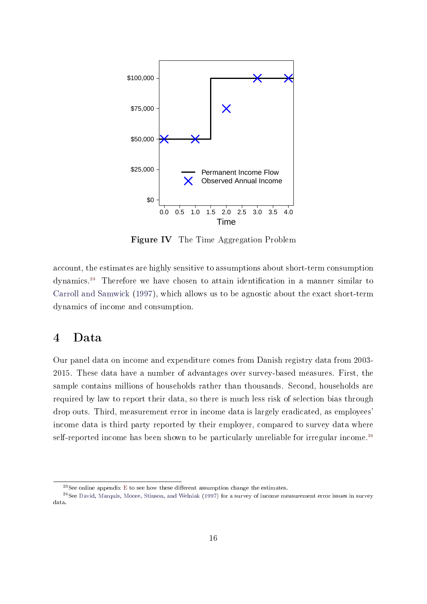<span id="page-16-0"></span>

Figure IV The Time Aggregation Problem

account, the estimates are highly sensitive to assumptions about short-term consumption dynamics.<sup>[23](#page-16-1)</sup> Therefore we have chosen to attain identification in a manner similar to [Carroll and Samwick](#page-39-4) [\(1997\)](#page-39-4), which allows us to be agnostic about the exact short-term dynamics of income and consumption.

## 4 Data

Our panel data on income and expenditure comes from Danish registry data from 2003- 2015. These data have a number of advantages over survey-based measures. First, the sample contains millions of households rather than thousands. Second, households are required by law to report their data, so there is much less risk of selection bias through drop outs. Third, measurement error in income data is largely eradicated, as employees' income data is third party reported by their employer, compared to survey data where self-reported income has been shown to be particularly unreliable for irregular income.<sup>[24](#page-16-2)</sup>

<span id="page-16-3"></span><span id="page-16-2"></span><span id="page-16-1"></span><sup>&</sup>lt;sup>23</sup>See online appendix [E](#page-51-0) to see how these different assumption change the estimates.

 $^{24}$ See [David, Marquis, Moore, Stinson, and Welniak](#page-40-6) [\(1997\)](#page-40-6) for a survey of income measurement error issues in survey data.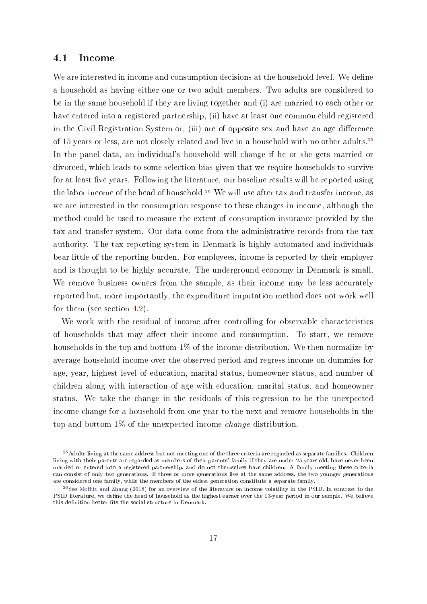#### 4.1 Income

We are interested in income and consumption decisions at the household level. We define a household as having either one or two adult members. Two adults are considered to be in the same household if they are living together and (i) are married to each other or have entered into a registered partnership, (ii) have at least one common child registered in the Civil Registration System or, (iii) are of opposite sex and have an age difference of 15 years or less, are not closely related and live in a household with no other adults.[25](#page-17-0) In the panel data, an individual's household will change if he or she gets married or divorced, which leads to some selection bias given that we require households to survive for at least five years. Following the literature, our baseline results will be reported using the labor income of the head of household.<sup>[26](#page-17-1)</sup> We will use after tax and transfer income, as we are interested in the consumption response to these changes in income, although the method could be used to measure the extent of consumption insurance provided by the tax and transfer system. Our data come from the administrative records from the tax authority. The tax reporting system in Denmark is highly automated and individuals bear little of the reporting burden. For employees, income is reported by their employer and is thought to be highly accurate. The underground economy in Denmark is small. We remove business owners from the sample, as their income may be less accurately reported but, more importantly, the expenditure imputation method does not work well for them (see section [4.2\)](#page-17-2).

We work with the residual of income after controlling for observable characteristics of households that may affect their income and consumption. To start, we remove households in the top and bottom 1% of the income distribution. We then normalize by average household income over the observed period and regress income on dummies for age, year, highest level of education, marital status, homeowner status, and number of children along with interaction of age with education, marital status, and homeowner status. We take the change in the residuals of this regression to be the unexpected income change for a household from one year to the next and remove households in the top and bottom 1% of the unexpected income change distribution.

<span id="page-17-2"></span><span id="page-17-0"></span> $^{25}$  Adults living at the same address but not meeting one of the three criteria are regarded as separate families. Children living with their parents are regarded as members of their parents' family if they are under 25 years old, have never been married or entered into a registered partnership, and do not themselves have children. A family meeting these criteria can consist of only two generations. If three or more generations live at the same address, the two younger generations are considered one family, while the members of the eldest generation constitute a separate family.

<span id="page-17-1"></span> $^{26}$ See Moffitt and Zhang [\(2018\)](#page-43-8) for an overview of the literature on income volatility in the PSID. In contrast to the PSID literature, we define the head of household as the highest earner over the 13-year period in our sample. We believe this definition better fits the social structure in Denmark.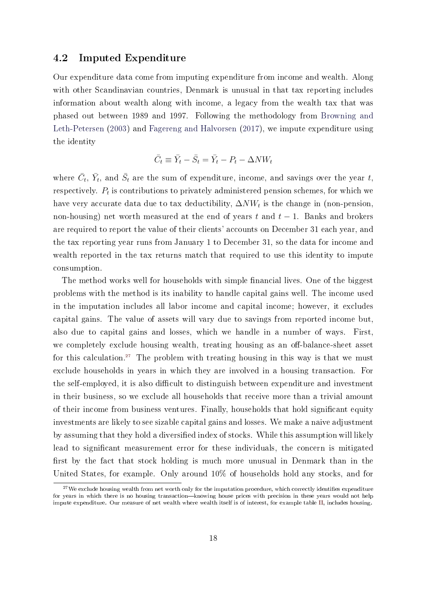#### 4.2 Imputed Expenditure

Our expenditure data come from imputing expenditure from income and wealth. Along with other Scandinavian countries, Denmark is unusual in that tax reporting includes information about wealth along with income, a legacy from the wealth tax that was phased out between 1989 and 1997. Following the methodology from [Browning and](#page-39-6) [Leth-Petersen](#page-39-6) [\(2003\)](#page-39-6) and [Fagereng and Halvorsen](#page-40-7) [\(2017\)](#page-40-7), we impute expenditure using the identity

$$
\bar{C}_t \equiv \bar{Y}_t - \bar{S}_t = \bar{Y}_t - P_t - \Delta N W_t
$$

where  $\bar{C}_t$ ,  $\bar{Y}_t$ , and  $\bar{S}_t$  are the sum of expenditure, income, and savings over the year  $t$ , respectively.  $P_t$  is contributions to privately administered pension schemes, for which we have very accurate data due to tax deductibility,  $\Delta N W_t$  is the change in (non-pension, non-housing) net worth measured at the end of years t and  $t - 1$ . Banks and brokers are required to report the value of their clients' accounts on December 31 each year, and the tax reporting year runs from January 1 to December 31, so the data for income and wealth reported in the tax returns match that required to use this identity to impute consumption.

The method works well for households with simple financial lives. One of the biggest problems with the method is its inability to handle capital gains well. The income used in the imputation includes all labor income and capital income; however, it excludes capital gains. The value of assets will vary due to savings from reported income but, also due to capital gains and losses, which we handle in a number of ways. First, we completely exclude housing wealth, treating housing as an off-balance-sheet asset for this calculation.<sup>[27](#page-18-0)</sup> The problem with treating housing in this way is that we must exclude households in years in which they are involved in a housing transaction. For the self-employed, it is also difficult to distinguish between expenditure and investment in their business, so we exclude all households that receive more than a trivial amount of their income from business ventures. Finally, households that hold signicant equity investments are likely to see sizable capital gains and losses. We make a naive adjustment by assuming that they hold a diversified index of stocks. While this assumption will likely lead to signicant measurement error for these individuals, the concern is mitigated first by the fact that stock holding is much more unusual in Denmark than in the United States, for example. Only around 10% of households hold any stocks, and for

<span id="page-18-0"></span> $27$ We exclude housing wealth from net worth only for the imputation procedure, which correctly identifies expenditure for years in which there is no housing transaction-knowing house prices with precision in these years would not help impute expenditure. Our measure of net wealth where wealth itself is of interest, for example table [II,](#page-21-0) includes housing.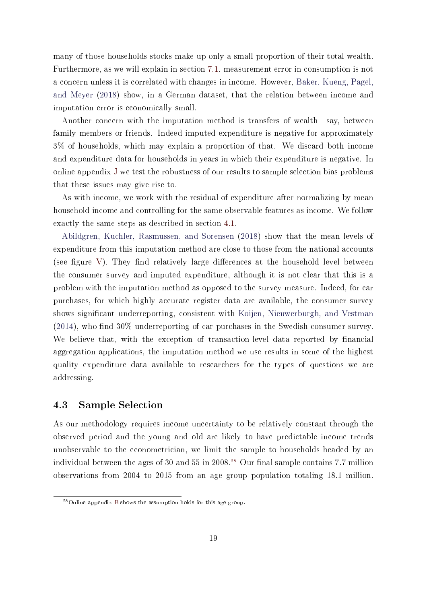many of those households stocks make up only a small proportion of their total wealth. Furthermore, as we will explain in section [7.1,](#page-33-0) measurement error in consumption is not a concern unless it is correlated with changes in income. However, [Baker, Kueng, Pagel,](#page-38-6) [and Meyer](#page-38-6) [\(2018\)](#page-38-6) show, in a German dataset, that the relation between income and imputation error is economically small.

Another concern with the imputation method is transfers of wealth-say, between family members or friends. Indeed imputed expenditure is negative for approximately 3% of households, which may explain a proportion of that. We discard both income and expenditure data for households in years in which their expenditure is negative. In online appendix [J](#page-61-0) we test the robustness of our results to sample selection bias problems that these issues may give rise to.

As with income, we work with the residual of expenditure after normalizing by mean household income and controlling for the same observable features as income. We follow exactly the same steps as described in section [4.1.](#page-16-3)

[Abildgren, Kuchler, Rasmussen, and Sorensen](#page-38-7) [\(2018\)](#page-38-7) show that the mean levels of expenditure from this imputation method are close to those from the national accounts (see figure [V\)](#page-20-1). They find relatively large differences at the household level between the consumer survey and imputed expenditure, although it is not clear that this is a problem with the imputation method as opposed to the survey measure. Indeed, for car purchases, for which highly accurate register data are available, the consumer survey shows significant underreporting, consistent with [Koijen, Nieuwerburgh, and Vestman](#page-42-10)  $(2014)$ , who find 30% underreporting of car purchases in the Swedish consumer survey. We believe that, with the exception of transaction-level data reported by financial aggregation applications, the imputation method we use results in some of the highest quality expenditure data available to researchers for the types of questions we are addressing.

### 4.3 Sample Selection

As our methodology requires income uncertainty to be relatively constant through the observed period and the young and old are likely to have predictable income trends unobservable to the econometrician, we limit the sample to households headed by an individual between the ages of 30 and 55 in 2008.<sup>[28](#page-19-0)</sup> Our final sample contains 7.7 million observations from 2004 to 2015 from an age group population totaling 18.1 million.

<span id="page-19-0"></span><sup>28</sup>Online appendix [B](#page-46-0) shows the assumption holds for this age group.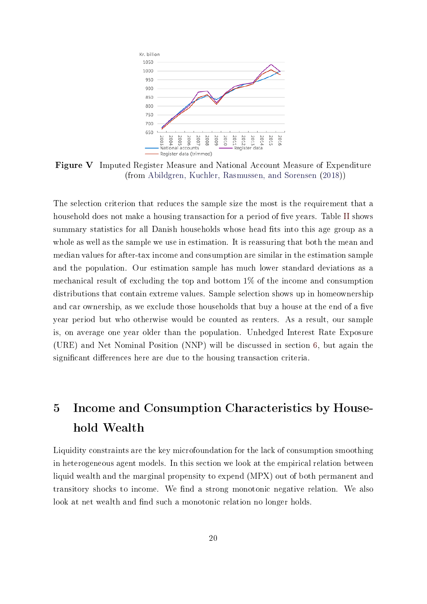<span id="page-20-1"></span>

Figure V Imputed Register Measure and National Account Measure of Expenditure (from [Abildgren, Kuchler, Rasmussen, and Sorensen](#page-38-7) [\(2018\)](#page-38-7))

The selection criterion that reduces the sample size the most is the requirement that a household does not make a housing transaction for a period of five years. Table [II](#page-21-0) shows summary statistics for all Danish households whose head fits into this age group as a whole as well as the sample we use in estimation. It is reassuring that both the mean and median values for after-tax income and consumption are similar in the estimation sample and the population. Our estimation sample has much lower standard deviations as a mechanical result of excluding the top and bottom 1% of the income and consumption distributions that contain extreme values. Sample selection shows up in homeownership and car ownership, as we exclude those households that buy a house at the end of a five year period but who otherwise would be counted as renters. As a result, our sample is, on average one year older than the population. Unhedged Interest Rate Exposure (URE) and Net Nominal Position (NNP) will be discussed in section [6,](#page-23-0) but again the significant differences here are due to the housing transaction criteria.

# <span id="page-20-0"></span>5 Income and Consumption Characteristics by Household Wealth

Liquidity constraints are the key microfoundation for the lack of consumption smoothing in heterogeneous agent models. In this section we look at the empirical relation between liquid wealth and the marginal propensity to expend (MPX) out of both permanent and transitory shocks to income. We find a strong monotonic negative relation. We also look at net wealth and find such a monotonic relation no longer holds.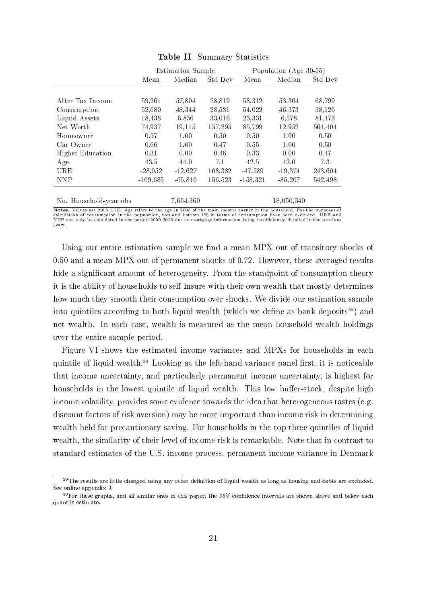<span id="page-21-0"></span>

|                         |            | <b>Estimation Sample</b> |         | Population (Age 30-55) |            |         |
|-------------------------|------------|--------------------------|---------|------------------------|------------|---------|
|                         | Mean       | Median                   | Std Dev | Mean                   | Median     | Std Dev |
|                         |            |                          |         |                        |            |         |
| After Tax Income        | 59,261     | 57,804                   | 28,819  | 58,312                 | 53,304     | 68,799  |
| Consumption             | 52.680     | 48.344                   | 28.581  | 54,022                 | 46.373     | 38,126  |
| Liquid Assets           | 18,438     | 6,856                    | 33,016  | 23,331                 | 6,578      | 81,473  |
| Net Worth               | 74,937     | 19,115                   | 157,295 | 85,799                 | 12,952     | 564,404 |
| Homeowner               | 0.57       | 1.00                     | 0.50    | 0.50                   | 1.00       | 0.50    |
| Car Owner               | 0.66       | 1.00                     | 0.47    | 0.55                   | 1.00       | 0.50    |
| <b>Higher Education</b> | 0.31       | 0.00                     | 0.46    | 0.33                   | 0.00       | 0.47    |
| Age                     | 43.5       | 44.0                     | 7.1     | 42.5                   | 42.0       | 73      |
| URE                     | $-28,052$  | $-12,627$                | 108,382 | $-47,589$              | $-19,374$  | 243,604 |
| <b>NNP</b>              | $-109,685$ | $-65,810$                | 156,523 | $-158,321$             | $-85,207$  | 542,498 |
|                         |            |                          |         |                        |            |         |
| No. Household-year obs  |            | 7,664,360                |         |                        | 18,050,340 |         |

Table II Summary Statistics

Notes: Values are 2015 USD. Age refers to the age in 2008 of the main income earner in the household. For the purposes of calculation of consumption in the population, top and bottom 1% in terms of consumption have been excluded. URE and NNP can only be calculated in the period 2009-2015 due to mortgage information being insufficiently detailed in the previous years.

Using our entire estimation sample we find a mean MPX out of transitory shocks of 0.50 and a mean MPX out of permanent shocks of 0.72. However, these averaged results hide a significant amount of heterogeneity. From the standpoint of consumption theory it is the ability of households to self-insure with their own wealth that mostly determines how much they smooth their consumption over shocks. We divide our estimation sample into quintiles according to both liquid wealth (which we define as bank deposits<sup>[29](#page-21-1)</sup>) and net wealth. In each case, wealth is measured as the mean household wealth holdings over the entire sample period.

Figure [VI](#page-22-0) shows the estimated income variances and MPXs for households in each quintile of liquid wealth.<sup>[30](#page-21-2)</sup> Looking at the left-hand variance panel first, it is noticeable that income uncertainty, and particularly permanent income uncertainty, is highest for households in the lowest quintile of liquid wealth. This low buffer-stock, despite high income volatility, provides some evidence towards the idea that heterogeneous tastes (e.g. discount factors of risk aversion) may be more important than income risk in determining wealth held for precautionary saving. For households in the top three quintiles of liquid wealth, the similarity of their level of income risk is remarkable. Note that in contrast to standard estimates of the U.S. income process, permanent income variance in Denmark

<span id="page-21-1"></span> $^{29}$ The results are little changed using any other definition of liquid wealth as long as housing and debts are excluded. See online appendix [J.](#page-61-0)

<span id="page-21-2"></span> $30$  For these graphs, and all similar ones in this paper, the  $95\%$  confidence intervals are shown above and below each quantile estimate.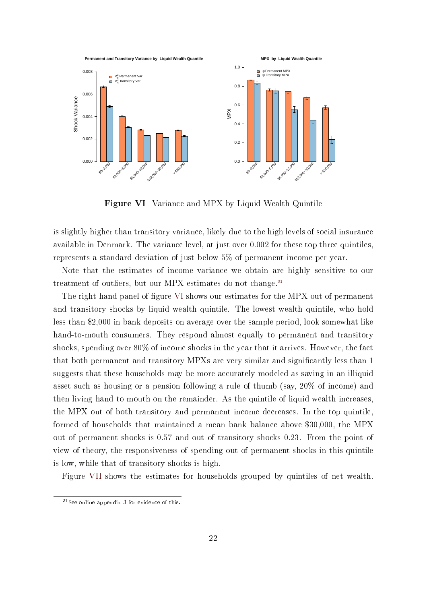<span id="page-22-0"></span>

Figure VI Variance and MPX by Liquid Wealth Quintile

is slightly higher than transitory variance, likely due to the high levels of social insurance available in Denmark. The variance level, at just over 0.002 for these top three quintiles, represents a standard deviation of just below 5% of permanent income per year.

Note that the estimates of income variance we obtain are highly sensitive to our treatment of outliers, but our MPX estimates do not change.<sup>[31](#page-22-1)</sup>

The right-hand panel of figure [VI](#page-22-0) shows our estimates for the MPX out of permanent and transitory shocks by liquid wealth quintile. The lowest wealth quintile, who hold less than \$2,000 in bank deposits on average over the sample period, look somewhat like hand-to-mouth consumers. They respond almost equally to permanent and transitory shocks, spending over 80% of income shocks in the year that it arrives. However, the fact that both permanent and transitory MPXs are very similar and signicantly less than 1 suggests that these households may be more accurately modeled as saving in an illiquid asset such as housing or a pension following a rule of thumb (say, 20% of income) and then living hand to mouth on the remainder. As the quintile of liquid wealth increases, the MPX out of both transitory and permanent income decreases. In the top quintile, formed of households that maintained a mean bank balance above \$30,000, the MPX out of permanent shocks is 0.57 and out of transitory shocks 0.23. From the point of view of theory, the responsiveness of spending out of permanent shocks in this quintile is low, while that of transitory shocks is high.

Figure [VII](#page-23-1) shows the estimates for households grouped by quintiles of net wealth.

<span id="page-22-1"></span><sup>31</sup>See online appendix [J](#page-61-0) for evidence of this.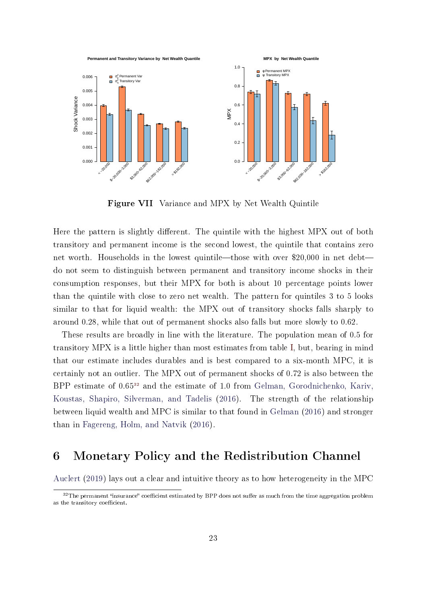<span id="page-23-1"></span>

Figure VII Variance and MPX by Net Wealth Quintile

Here the pattern is slightly different. The quintile with the highest MPX out of both transitory and permanent income is the second lowest, the quintile that contains zero net worth. Households in the lowest quintile—those with over \$20,000 in net debtdo not seem to distinguish between permanent and transitory income shocks in their consumption responses, but their MPX for both is about 10 percentage points lower than the quintile with close to zero net wealth. The pattern for quintiles 3 to 5 looks similar to that for liquid wealth: the MPX out of transitory shocks falls sharply to around 0.28, while that out of permanent shocks also falls but more slowly to 0.62.

These results are broadly in line with the literature. The population mean of 0.5 for transitory MPX is a little higher than most estimates from table [I,](#page-6-0) but, bearing in mind that our estimate includes durables and is best compared to a six-month MPC, it is certainly not an outlier. The MPX out of permanent shocks of 0.72 is also between the BPP estimate of 0.65[32](#page-23-2) and the estimate of 1.0 from [Gelman, Gorodnichenko, Kariv,](#page-41-4) [Koustas, Shapiro, Silverman, and Tadelis](#page-41-4) [\(2016\)](#page-41-4). The strength of the relationship between liquid wealth and MPC is similar to that found in [Gelman](#page-41-3) [\(2016\)](#page-41-3) and stronger than in [Fagereng, Holm, and Natvik](#page-40-2) [\(2016\)](#page-40-2).

## <span id="page-23-0"></span>6 Monetary Policy and the Redistribution Channel

[Auclert](#page-38-0) [\(2019\)](#page-38-0) lays out a clear and intuitive theory as to how heterogeneity in the MPC

<span id="page-23-2"></span> $32$ The permanent "insurance" coefficient estimated by BPP does not suffer as much from the time aggregation problem as the transitory coefficient.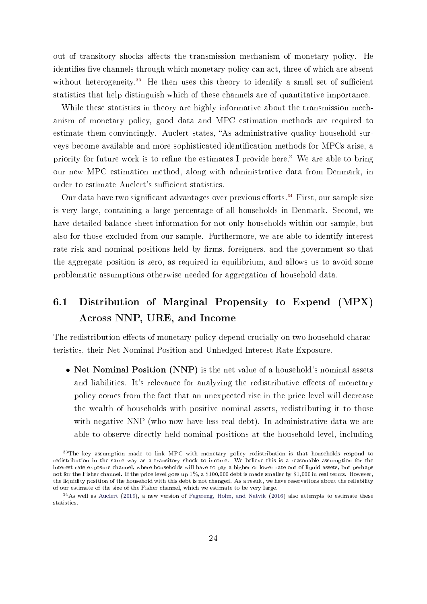out of transitory shocks affects the transmission mechanism of monetary policy. He identifies five channels through which monetary policy can act, three of which are absent without heterogeneity.<sup>[33](#page-24-0)</sup> He then uses this theory to identify a small set of sufficient statistics that help distinguish which of these channels are of quantitative importance.

While these statistics in theory are highly informative about the transmission mechanism of monetary policy, good data and MPC estimation methods are required to estimate them convincingly. Auclert states, "As administrative quality household surveys become available and more sophisticated identification methods for MPCs arise, a priority for future work is to refine the estimates I provide here." We are able to bring our new MPC estimation method, along with administrative data from Denmark, in order to estimate Auclert's sufficient statistics.

Our data have two significant advantages over previous efforts.<sup>[34](#page-24-1)</sup> First, our sample size is very large, containing a large percentage of all households in Denmark. Second, we have detailed balance sheet information for not only households within our sample, but also for those excluded from our sample. Furthermore, we are able to identify interest rate risk and nominal positions held by firms, foreigners, and the government so that the aggregate position is zero, as required in equilibrium, and allows us to avoid some problematic assumptions otherwise needed for aggregation of household data.

## 6.1 Distribution of Marginal Propensity to Expend (MPX) Across NNP, URE, and Income

The redistribution effects of monetary policy depend crucially on two household characteristics, their Net Nominal Position and Unhedged Interest Rate Exposure.

• Net Nominal Position (NNP) is the net value of a household's nominal assets and liabilities. It's relevance for analyzing the redistributive effects of monetary policy comes from the fact that an unexpected rise in the price level will decrease the wealth of households with positive nominal assets, redistributing it to those with negative NNP (who now have less real debt). In administrative data we are able to observe directly held nominal positions at the household level, including

<span id="page-24-0"></span><sup>&</sup>lt;sup>33</sup>The key assumption made to link MPC with monetary policy redistribution is that households respond to redistribution in the same way as a transitory shock to income. We believe this is a reasonable assumption for the interest rate exposure channel, where households will have to pay a higher or lower rate out of liquid assets, but perhaps not for the Fisher channel. If the price level goes up 1%, a \$100,000 debt is made smaller by \$1,000 in real terms. However, the liquidity position of the household with this debt is not changed. As a result, we have reservations about the reliability of our estimate of the size of the Fisher channel, which we estimate to be very large.

<span id="page-24-1"></span> $34$ As well as [Auclert](#page-38-0) [\(2019\)](#page-38-0), a new version of [Fagereng, Holm, and Natvik](#page-40-2) [\(2016\)](#page-40-2) also attempts to estimate these statistics.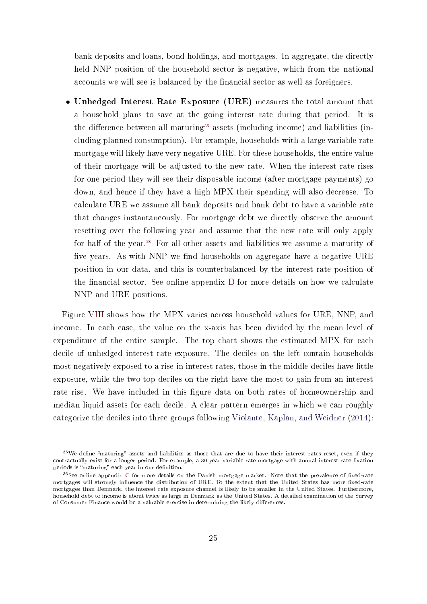bank deposits and loans, bond holdings, and mortgages. In aggregate, the directly held NNP position of the household sector is negative, which from the national accounts we will see is balanced by the financial sector as well as foreigners.

• Unhedged Interest Rate Exposure (URE) measures the total amount that a household plans to save at the going interest rate during that period. It is the difference between all maturing<sup>[35](#page-25-0)</sup> assets (including income) and liabilities (including planned consumption). For example, households with a large variable rate mortgage will likely have very negative URE. For these households, the entire value of their mortgage will be adjusted to the new rate. When the interest rate rises for one period they will see their disposable income (after mortgage payments) go down, and hence if they have a high MPX their spending will also decrease. To calculate URE we assume all bank deposits and bank debt to have a variable rate that changes instantaneously. For mortgage debt we directly observe the amount resetting over the following year and assume that the new rate will only apply for half of the year.[36](#page-25-1) For all other assets and liabilities we assume a maturity of five years. As with NNP we find households on aggregate have a negative URE position in our data, and this is counterbalanced by the interest rate position of the financial sector. See online appendix  $D$  for more details on how we calculate NNP and URE positions.

Figure [VIII](#page-28-0) shows how the MPX varies across household values for URE, NNP, and income. In each case, the value on the x-axis has been divided by the mean level of expenditure of the entire sample. The top chart shows the estimated MPX for each decile of unhedged interest rate exposure. The deciles on the left contain households most negatively exposed to a rise in interest rates, those in the middle deciles have little exposure, while the two top deciles on the right have the most to gain from an interest rate rise. We have included in this figure data on both rates of homeownership and median liquid assets for each decile. A clear pattern emerges in which we can roughly categorize the deciles into three groups following [Violante, Kaplan, and Weidner](#page-44-0) [\(2014\)](#page-44-0):

<span id="page-25-0"></span> $35$ We define "maturing" assets and liabilities as those that are due to have their interest rates reset, even if they contractually exist for a longer period. For example, a 30 year variable rate mortgage with annual interest rate fixation periods is "maturing" each year in our definition.

<span id="page-25-1"></span> $36$ See online appendix [C](#page-47-0) for more details on the Danish mortgage market. Note that the prevalence of fixed-rate mortgages will strongly influence the distribution of URE. To the extent that the United States has more fixed-rate mortgages than Denmark, the interest rate exposure channel is likely to be smaller in the United States. Furthermore, household debt to income is about twice as large in Denmark as the United States. A detailed examination of the Survey of Consumer Finance would be a valuable exercise in determining the likely differences.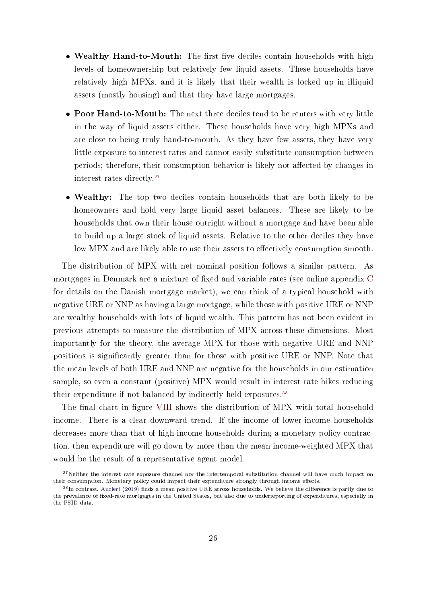- Wealthy Hand-to-Mouth: The first five deciles contain households with high levels of homeownership but relatively few liquid assets. These households have relatively high MPXs, and it is likely that their wealth is locked up in illiquid assets (mostly housing) and that they have large mortgages.
- Poor Hand-to-Mouth: The next three deciles tend to be renters with very little in the way of liquid assets either. These households have very high MPXs and are close to being truly hand-to-mouth. As they have few assets, they have very little exposure to interest rates and cannot easily substitute consumption between periods; therefore, their consumption behavior is likely not affected by changes in interest rates directly.[37](#page-26-0)
- Wealthy: The top two deciles contain households that are both likely to be homeowners and hold very large liquid asset balances. These are likely to be households that own their house outright without a mortgage and have been able to build up a large stock of liquid assets. Relative to the other deciles they have low MPX and are likely able to use their assets to effectively consumption smooth.

The distribution of MPX with net nominal position follows a similar pattern. As mortgages in Denmark are a mixture of fixed and variable rates (see online appendix [C](#page-47-0) for details on the Danish mortgage market), we can think of a typical household with negative URE or NNP as having a large mortgage, while those with positive URE or NNP are wealthy households with lots of liquid wealth. This pattern has not been evident in previous attempts to measure the distribution of MPX across these dimensions. Most importantly for the theory, the average MPX for those with negative URE and NNP positions is signicantly greater than for those with positive URE or NNP. Note that the mean levels of both URE and NNP are negative for the households in our estimation sample, so even a constant (positive) MPX would result in interest rate hikes reducing their expenditure if not balanced by indirectly held exposures.<sup>[38](#page-26-1)</sup>

The final chart in figure [VIII](#page-28-0) shows the distribution of MPX with total household income. There is a clear downward trend. If the income of lower-income households decreases more than that of high-income households during a monetary policy contraction, then expenditure will go down by more than the mean income-weighted MPX that would be the result of a representative agent model.

<span id="page-26-0"></span> $37$ Neither the interest rate exposure channel nor the intertemporal substitution channel will have much impact on their consumption. Monetary policy could impact their expenditure strongly through income effects.

<span id="page-26-1"></span> $38$ In contrast, [Auclert](#page-38-0) [\(2019\)](#page-38-0) finds a mean positive URE across households. We believe the difference is partly due to the prevalence of fixed-rate mortgages in the United States, but also due to underreporting of expenditures, especially in the PSID data.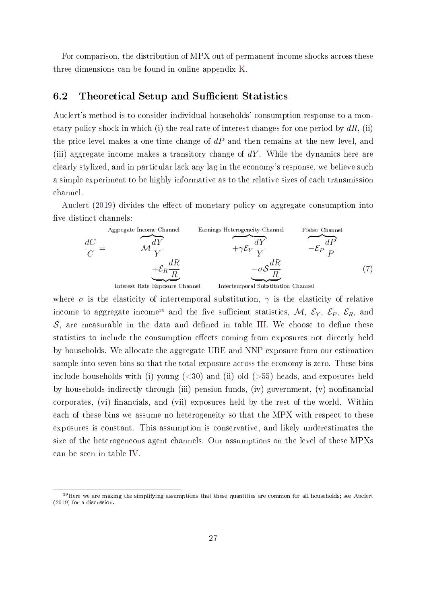For comparison, the distribution of MPX out of permanent income shocks across these three dimensions can be found in online appendix [K.](#page-63-0)

### 6.2 Theoretical Setup and Sufficient Statistics

Auclert's method is to consider individual households' consumption response to a monetary policy shock in which (i) the real rate of interest changes for one period by  $dR$ , (ii) the price level makes a one-time change of  $dP$  and then remains at the new level, and (iii) aggregate income makes a transitory change of  $dY$ . While the dynamics here are clearly stylized, and in particular lack any lag in the economy's response, we believe such a simple experiment to be highly informative as to the relative sizes of each transmission channel.

[Auclert](#page-38-0)  $(2019)$  divides the effect of monetary policy on aggregate consumption into five distinct channels:

<span id="page-27-1"></span>

where  $\sigma$  is the elasticity of intertemporal substitution,  $\gamma$  is the elasticity of relative income to aggregate income<sup>[39](#page-27-0)</sup> and the five sufficient statistics, M,  $\mathcal{E}_Y$ ,  $\mathcal{E}_P$ ,  $\mathcal{E}_R$ , and  $S$ , are measurable in the data and defined in table [III.](#page-29-0) We choose to define these statistics to include the consumption effects coming from exposures not directly held by households. We allocate the aggregate URE and NNP exposure from our estimation sample into seven bins so that the total exposure across the economy is zero. These bins include households with (i) young  $\left( < 30 \right)$  and (ii) old  $\left( > 55 \right)$  heads, and exposures held by households indirectly through (iii) pension funds, (iv) government, (v) nonfinancial corporates, (vi) financials, and (vii) exposures held by the rest of the world. Within each of these bins we assume no heterogeneity so that the MPX with respect to these exposures is constant. This assumption is conservative, and likely underestimates the size of the heterogeneous agent channels. Our assumptions on the level of these MPXs can be seen in table [IV.](#page-30-0)

<span id="page-27-0"></span> $39$  Here we are making the simplifying assumptions that these quantities are common for all households; see [Auclert](#page-38-0) [\(2019\)](#page-38-0) for a discussion.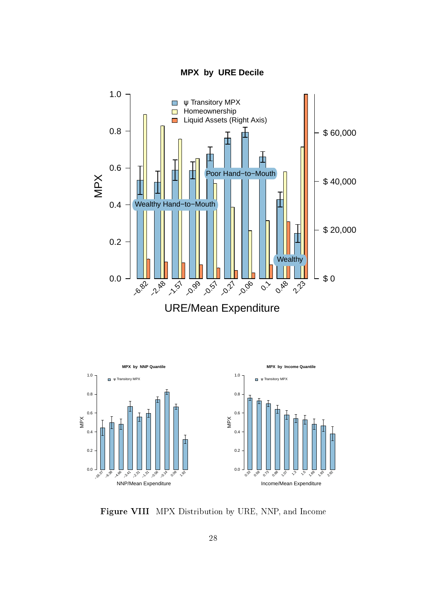

<span id="page-28-0"></span>

URE/Mean Expenditure



Figure VIII MPX Distribution by URE, NNP, and Income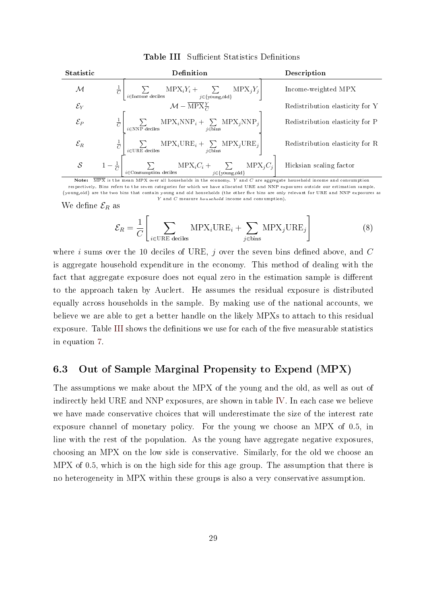| <b>Statistic</b>  | Definition                                                                                                                 | Description                     |
|-------------------|----------------------------------------------------------------------------------------------------------------------------|---------------------------------|
| М                 | $MPX_iY_i + \sum_{j \in \{\text{young}, \text{old}\}} w$<br>$MPX_iY_i$<br>$\frac{1}{C}$<br>$i{\in}\textsc{Income}$ deciles | Income-weighted MPX             |
| $\mathcal{E}_Y$   | $\mathcal{M}-\overline{\text{MPX}_{C}^{Y}}$                                                                                | Redistribution elasticity for Y |
| $\mathcal{E}_P$   | $MPX_iNNP_i + \sum_{i=1} NPX_jNNP_j$<br>$\frac{1}{C}$<br>$i\in\overline{\text{bins}}$<br>$i \in \text{NNP}$ deciles        | Redistribution elasticity for P |
| $\mathcal{E}_R$   | $MPX_iURE_i + \sum_{j \in \text{bins}} MPX_jURE_j$<br>$i \in \text{URE}$ deciles                                           | Redistribution elasticity for R |
| $\mathcal{S}_{0}$ | $MPX_iC_i +$<br>$MPX_iC_i$<br>$j \in \{$ young,old}<br>$i \in$ Consumption deciles                                         | Hicksian scaling factor         |

<span id="page-29-0"></span>Table III Sufficient Statistics Definitions

Note: MPX is the mean MPX over all households in the economy. Y and C are aggregate household income and consumption respectively. Bins refers to the seven categories for which we have allocated URE and NNP exposures outside our estimation sample. {young,old} are the two bins that contain young and old households (the other five bins are only relevant for URE and NNP exposures as Y and C measure household income and consumption).

We define  $\mathcal{E}_R$  as

$$
\mathcal{E}_R = \frac{1}{C} \left[ \sum_{i \in \text{URE deciles}} \text{MPX}_i \text{URE}_i + \sum_{j \in \text{bins}} \text{MPX}_j \text{URE}_j \right] \tag{8}
$$

where i sums over the 10 deciles of URE, j over the seven bins defined above, and  $C$ is aggregate household expenditure in the economy. This method of dealing with the fact that aggregate exposure does not equal zero in the estimation sample is different to the approach taken by Auclert. He assumes the residual exposure is distributed equally across households in the sample. By making use of the national accounts, we believe we are able to get a better handle on the likely MPXs to attach to this residual exposure. Table [III](#page-29-0) shows the definitions we use for each of the five measurable statistics in equation [7.](#page-27-1)

### 6.3 Out of Sample Marginal Propensity to Expend (MPX)

The assumptions we make about the MPX of the young and the old, as well as out of indirectly held URE and NNP exposures, are shown in table [IV.](#page-30-0) In each case we believe we have made conservative choices that will underestimate the size of the interest rate exposure channel of monetary policy. For the young we choose an MPX of 0.5, in line with the rest of the population. As the young have aggregate negative exposures, choosing an MPX on the low side is conservative. Similarly, for the old we choose an MPX of 0.5, which is on the high side for this age group. The assumption that there is no heterogeneity in MPX within these groups is also a very conservative assumption.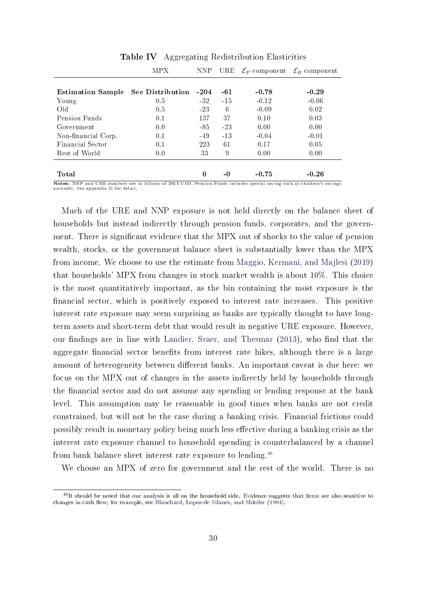<span id="page-30-0"></span>

|                          | MPX              | NNP.     | URE   | $\mathcal{E}_P$ component | $\mathcal{E}_R$ component |
|--------------------------|------------------|----------|-------|---------------------------|---------------------------|
|                          |                  |          |       |                           |                           |
| <b>Estimation Sample</b> | See Distribution | $-204$   | -61   | $-0.78$                   | $-0.29$                   |
| Young                    | 0.5              | $-32$    | $-15$ | $-0.12$                   | $-0.06$                   |
| Old.                     | 0.5              | $-23$    | 6     | $-0.09$                   | 0.02                      |
| Pension Funds            | 0.1              | 137      | 37    | 0.10                      | 0.03                      |
| Government               | 0.0              | -85      | $-23$ | 0.00                      | 0.00                      |
| Non-financial Corp.      | 0.1              | $-49$    | $-13$ | $-0.04$                   | $-0.01$                   |
| Financial Sector         | 0.1              | 223      | 61    | 0.17                      | 0.05                      |
| Rest of World            | 0.0              | 33       | 9     | 0.00                      | 0.00                      |
|                          |                  |          |       |                           |                           |
| Total                    |                  | $\Omega$ | -0    | $-0.75$                   | $-0.26$                   |

Table IV Aggregating Redistribution Elasticities

Notes: NNP and URE numbers are in billions of 2015 USD. Pension Funds includes special saving such as children's savings accounts. See appendix [D](#page-49-0) for detail.

Much of the URE and NNP exposure is not held directly on the balance sheet of households but instead indirectly through pension funds, corporates, and the government. There is significant evidence that the MPX out of shocks to the value of pension wealth, stocks, or the government balance sheet is substantially lower than the MPX from income. We choose to use the estimate from [Maggio, Kermani, and Majlesi](#page-43-9) [\(2019\)](#page-43-9) that households' MPX from changes in stock market wealth is about 10%. This choice is the most quantitatively important, as the bin containing the most exposure is the nancial sector, which is positively exposed to interest rate increases. This positive interest rate exposure may seem surprising as banks are typically thought to have longterm assets and short-term debt that would result in negative URE exposure. However, our findings are in line with [Landier, Sraer, and Thesmar](#page-42-11) [\(2013\)](#page-42-11), who find that the aggregate financial sector benefits from interest rate hikes, although there is a large amount of heterogeneity between different banks. An important caveat is due here: we focus on the MPX out of changes in the assets indirectly held by households through the financial sector and do not assume any spending or lending response at the bank level. This assumption may be reasonable in good times when banks are not credit constrained, but will not be the case during a banking crisis. Financial frictions could possibly result in monetary policy being much less effective during a banking crisis as the interest rate exposure channel to household spending is counterbalanced by a channel from bank balance sheet interest rate exposure to lending.[40](#page-30-1)

We choose an MPX of zero for government and the rest of the world. There is no

<span id="page-30-1"></span> $^{40}$ It should be noted that our analysis is all on the household side. Evidence suggests that firms are also sensitive to changes in cash flow; for example, see [Blanchard, Lopez-de Silanes, and Shleifer](#page-39-7) [\(1994\)](#page-39-7).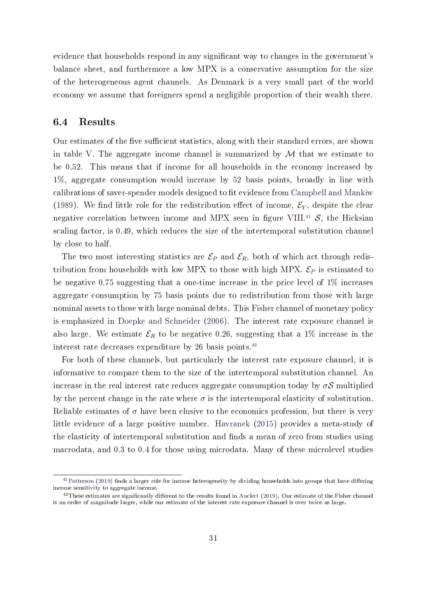evidence that households respond in any significant way to changes in the government's balance sheet, and furthermore a low MPX is a conservative assumption for the size of the heterogeneous agent channels. As Denmark is a very small part of the world economy we assume that foreigners spend a negligible proportion of their wealth there.

### 6.4 Results

Our estimates of the five sufficient statistics, along with their standard errors, are shown in table [V.](#page-32-1) The aggregate income channel is summarized by  $\mathcal M$  that we estimate to be 0.52. This means that if income for all households in the economy increased by 1%, aggregate consumption would increase by 52 basis points, broadly in line with calibrations of saver-spender models designed to fit evidence from [Campbell and Mankiw](#page-39-5) [\(1989\)](#page-39-5). We find little role for the redistribution effect of income,  $\mathcal{E}_Y$ , despite the clear negative correlation between income and MPX seen in figure [VIII.](#page-28-0)<sup>[41](#page-31-0)</sup>  $\mathcal{S}$ , the Hicksian scaling factor, is 0.49, which reduces the size of the intertemporal substitution channel by close to half.

The two most interesting statistics are  $\mathcal{E}_P$  and  $\mathcal{E}_R$ , both of which act through redistribution from households with low MPX to those with high MPX.  $\mathcal{E}_P$  is estimated to be negative 0.75 suggesting that a one-time increase in the price level of 1% increases aggregate consumption by 75 basis points due to redistribution from those with large nominal assets to those with large nominal debts. This Fisher channel of monetary policy is emphasized in [Doepke and Schneider](#page-40-8) [\(2006\)](#page-40-8). The interest rate exposure channel is also large. We estimate  $\mathcal{E}_R$  to be negative 0.26, suggesting that a 1% increase in the interest rate decreases expenditure by 26 basis points.[42](#page-31-1)

For both of these channels, but particularly the interest rate exposure channel, it is informative to compare them to the size of the intertemporal substitution channel. An increase in the real interest rate reduces aggregate consumption today by  $\sigma S$  multiplied by the percent change in the rate where  $\sigma$  is the intertemporal elasticity of substitution. Reliable estimates of  $\sigma$  have been elusive to the economics profession, but there is very little evidence of a large positive number. [Havranek](#page-41-8) [\(2015\)](#page-41-8) provides a meta-study of the elasticity of intertemporal substitution and finds a mean of zero from studies using macrodata, and 0.3 to 0.4 for those using microdata. Many of these microlevel studies

<span id="page-31-0"></span> $41$ [Patterson](#page-43-10) [\(2019\)](#page-43-10) finds a larger role for income heterogeneity by dividing households into groups that have differing income sensitivity to aggregate income.

<span id="page-31-1"></span> $^{42}$ These estimates are significantly different to the results found in [Auclert](#page-38-0) [\(2019\)](#page-38-0). Our estimate of the Fisher channel is an order of magnitude larger, while our estimate of the interest rate exposure channel is over twice as large.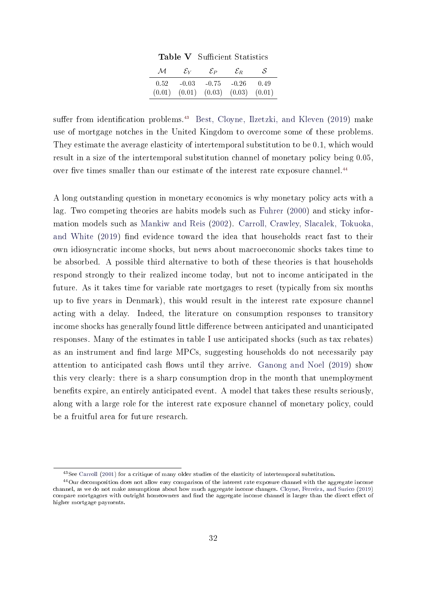|      | $\pm a \omega_1 c$ , button to the contract of $\alpha$       |        |
|------|---------------------------------------------------------------|--------|
|      | $\mathcal{M}$ $\mathcal{E}_Y$ $\mathcal{E}_P$ $\mathcal{E}_R$ | -S     |
| 0.52 | $-0.03$ $-0.75$ $-0.26$                                       | - 0.49 |
|      | $(0.01)$ $(0.01)$ $(0.03)$ $(0.03)$ $(0.01)$                  |        |

Table V Sufficient Statistics

<span id="page-32-1"></span>suffer from identification problems.<sup>[43](#page-32-2)</sup> [Best, Cloyne, Ilzetzki, and Kleven](#page-38-8) [\(2019\)](#page-38-8) make use of mortgage notches in the United Kingdom to overcome some of these problems. They estimate the average elasticity of intertemporal substitution to be 0.1, which would result in a size of the intertemporal substitution channel of monetary policy being 0.05, over five times smaller than our estimate of the interest rate exposure channel.<sup>[44](#page-32-3)</sup>

A long outstanding question in monetary economics is why monetary policy acts with a lag. Two competing theories are habits models such as [Fuhrer](#page-40-9) [\(2000\)](#page-40-9) and sticky information models such as [Mankiw and Reis](#page-43-11) [\(2002\)](#page-43-11). [Carroll, Crawley, Slacalek, Tokuoka,](#page-39-8) [and White](#page-39-8) [\(2019\)](#page-39-8) find evidence toward the idea that households react fast to their own idiosyncratic income shocks, but news about macroeconomic shocks takes time to be absorbed. A possible third alternative to both of these theories is that households respond strongly to their realized income today, but not to income anticipated in the future. As it takes time for variable rate mortgages to reset (typically from six months up to five years in Denmark), this would result in the interest rate exposure channel acting with a delay. Indeed, the literature on consumption responses to transitory income shocks has generally found little difference between anticipated and unanticipated responses. Many of the estimates in table [I](#page-6-0) use anticipated shocks (such as tax rebates) as an instrument and find large MPCs, suggesting households do not necessarily pay attention to anticipated cash flows until they arrive. [Ganong and Noel](#page-40-1) [\(2019\)](#page-40-1) show this very clearly: there is a sharp consumption drop in the month that unemployment benefits expire, an entirely anticipated event. A model that takes these results seriously, along with a large role for the interest rate exposure channel of monetary policy, could be a fruitful area for future research.

<span id="page-32-3"></span><span id="page-32-2"></span><span id="page-32-0"></span><sup>43</sup>See [Carroll](#page-39-9) [\(2001\)](#page-39-9) for a critique of many older studies of the elasticity of intertemporal substitution.

<sup>44</sup>Our decomposition does not allow easy comparison of the interest rate exposure channel with the aggregate income channel, as we do not make assumptions about how much aggregate income changes. [Cloyne, Ferreira, and Surico](#page-40-10) [\(2019\)](#page-40-10) compare mortgagors with outright homeowners and find the aggregate income channel is larger than the direct effect of higher mortgage payments.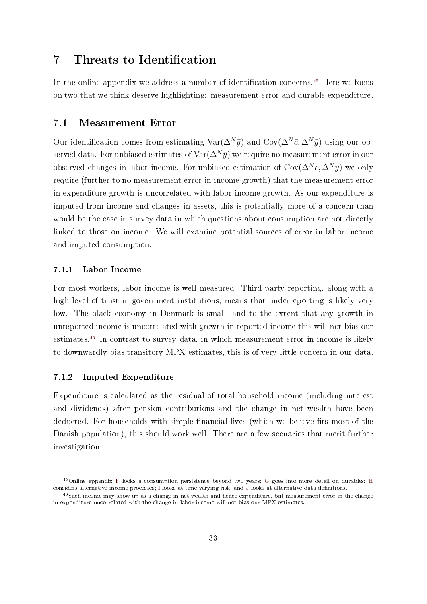## 7 Threats to Identification

In the online appendix we address a number of identification concerns.<sup>[45](#page-33-1)</sup> Here we focus on two that we think deserve highlighting: measurement error and durable expenditure.

### <span id="page-33-0"></span>7.1 Measurement Error

Our identification comes from estimating  $\text{Var}(\Delta^N \bar{y})$  and  $\text{Cov}(\Delta^N \bar{c}, \Delta^N \bar{y})$  using our observed data. For unbiased estimates of  $\text{Var}(\Delta^N \bar{y})$  we require no measurement error in our observed changes in labor income. For unbiased estimation of  $Cov(\Delta^N \bar{c}, \Delta^N \bar{y})$  we only require (further to no measurement error in income growth) that the measurement error in expenditure growth is uncorrelated with labor income growth. As our expenditure is imputed from income and changes in assets, this is potentially more of a concern than would be the case in survey data in which questions about consumption are not directly linked to those on income. We will examine potential sources of error in labor income and imputed consumption.

#### 7.1.1 Labor Income

For most workers, labor income is well measured. Third party reporting, along with a high level of trust in government institutions, means that underreporting is likely very low. The black economy in Denmark is small, and to the extent that any growth in unreported income is uncorrelated with growth in reported income this will not bias our estimates.[46](#page-33-2) In contrast to survey data, in which measurement error in income is likely to downwardly bias transitory MPX estimates, this is of very little concern in our data.

#### 7.1.2 Imputed Expenditure

Expenditure is calculated as the residual of total household income (including interest and dividends) after pension contributions and the change in net wealth have been deducted. For households with simple financial lives (which we believe fits most of the Danish population), this should work well. There are a few scenarios that merit further investigation.

<span id="page-33-1"></span><sup>45</sup>Online appendix [F](#page-52-0) looks a consumption persistence beyond two years; [G](#page-55-0) goes into more detail on durables; [H](#page-58-0) considers alternative income processes; [I](#page-60-0) looks at time-varying risk; and [J](#page-61-0) looks at alternative data denitions.

<span id="page-33-2"></span> $^{46}$ Such income may show up as a change in net wealth and hence expenditure, but measurement error in the change in expenditure uncorrelated with the change in labor income will not bias our MPX estimates.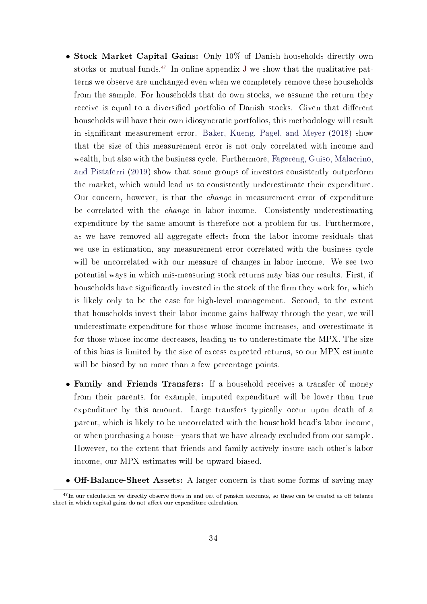- Stock Market Capital Gains: Only 10% of Danish households directly own stocks or mutual funds.<sup>[47](#page-34-0)</sup> In online appendix [J](#page-61-0) we show that the qualitative patterns we observe are unchanged even when we completely remove these households from the sample. For households that do own stocks, we assume the return they receive is equal to a diversified portfolio of Danish stocks. Given that different households will have their own idiosyncratic portfolios, this methodology will result in significant measurement error. [Baker, Kueng, Pagel, and Meyer](#page-38-6) [\(2018\)](#page-38-6) show that the size of this measurement error is not only correlated with income and wealth, but also with the business cycle. Furthermore, [Fagereng, Guiso, Malacrino,](#page-40-11) [and Pistaferri](#page-40-11) [\(2019\)](#page-40-11) show that some groups of investors consistently outperform the market, which would lead us to consistently underestimate their expenditure. Our concern, however, is that the change in measurement error of expenditure be correlated with the change in labor income. Consistently underestimating expenditure by the same amount is therefore not a problem for us. Furthermore, as we have removed all aggregate effects from the labor income residuals that we use in estimation, any measurement error correlated with the business cycle will be uncorrelated with our measure of changes in labor income. We see two potential ways in which mis-measuring stock returns may bias our results. First, if households have significantly invested in the stock of the firm they work for, which is likely only to be the case for high-level management. Second, to the extent that households invest their labor income gains halfway through the year, we will underestimate expenditure for those whose income increases, and overestimate it for those whose income decreases, leading us to underestimate the MPX. The size of this bias is limited by the size of excess expected returns, so our MPX estimate will be biased by no more than a few percentage points.
- Family and Friends Transfers: If a household receives a transfer of money from their parents, for example, imputed expenditure will be lower than true expenditure by this amount. Large transfers typically occur upon death of a parent, which is likely to be uncorrelated with the household head's labor income, or when purchasing a house—years that we have already excluded from our sample. However, to the extent that friends and family actively insure each other's labor income, our MPX estimates will be upward biased.
- <span id="page-34-0"></span>• Off-Balance-Sheet Assets: A larger concern is that some forms of saving may

 $^{47}$ In our calculation we directly observe flows in and out of pension accounts, so these can be treated as off balance sheet in which capital gains do not affect our expenditure calculation.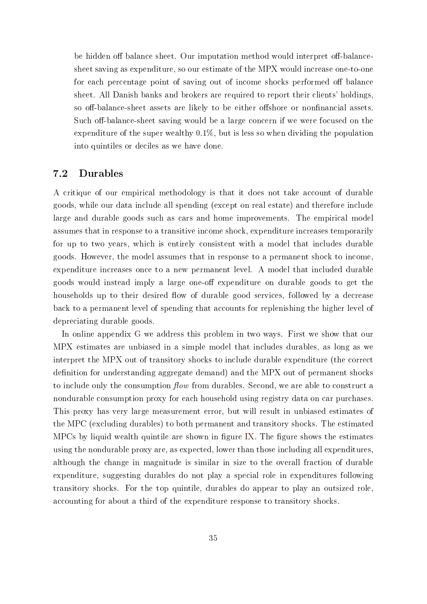be hidden off balance sheet. Our imputation method would interpret off-balancesheet saving as expenditure, so our estimate of the MPX would increase one-to-one for each percentage point of saving out of income shocks performed off balance sheet. All Danish banks and brokers are required to report their clients' holdings, so off-balance-sheet assets are likely to be either offshore or nonfinancial assets. Such off-balance-sheet saving would be a large concern if we were focused on the expenditure of the super wealthy 0.1%, but is less so when dividing the population into quintiles or deciles as we have done.

### <span id="page-35-0"></span>7.2 Durables

A critique of our empirical methodology is that it does not take account of durable goods, while our data include all spending (except on real estate) and therefore include large and durable goods such as cars and home improvements. The empirical model assumes that in response to a transitive income shock, expenditure increases temporarily for up to two years, which is entirely consistent with a model that includes durable goods. However, the model assumes that in response to a permanent shock to income, expenditure increases once to a new permanent level. A model that included durable goods would instead imply a large one-off expenditure on durable goods to get the households up to their desired flow of durable good services, followed by a decrease back to a permanent level of spending that accounts for replenishing the higher level of depreciating durable goods.

In online appendix [G](#page-55-0) we address this problem in two ways. First we show that our MPX estimates are unbiased in a simple model that includes durables, as long as we interpret the MPX out of transitory shocks to include durable expenditure (the correct definition for understanding aggregate demand) and the MPX out of permanent shocks to include only the consumption  $flow$  from durables. Second, we are able to construct a nondurable consumption proxy for each household using registry data on car purchases. This proxy has very large measurement error, but will result in unbiased estimates of the MPC (excluding durables) to both permanent and transitory shocks. The estimated  $MPCs$  by liquid wealth quintile are shown in figure [IX.](#page-36-0) The figure shows the estimates using the nondurable proxy are, as expected, lower than those including all expenditures, although the change in magnitude is similar in size to the overall fraction of durable expenditure, suggesting durables do not play a special role in expenditures following transitory shocks. For the top quintile, durables do appear to play an outsized role, accounting for about a third of the expenditure response to transitory shocks.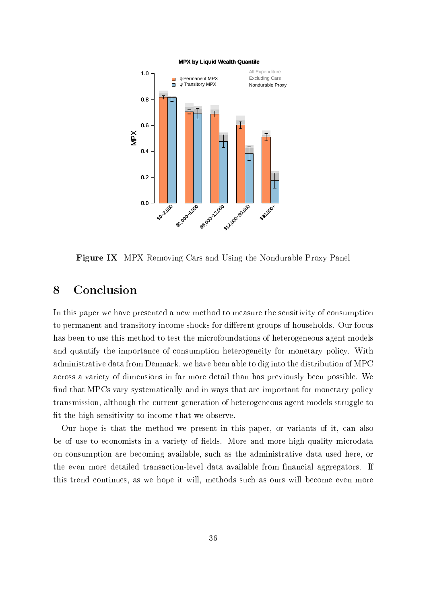<span id="page-36-0"></span>

Figure IX MPX Removing Cars and Using the Nondurable Proxy Panel

## 8 Conclusion

In this paper we have presented a new method to measure the sensitivity of consumption to permanent and transitory income shocks for different groups of households. Our focus has been to use this method to test the microfoundations of heterogeneous agent models and quantify the importance of consumption heterogeneity for monetary policy. With administrative data from Denmark, we have been able to dig into the distribution of MPC across a variety of dimensions in far more detail than has previously been possible. We find that MPCs vary systematically and in ways that are important for monetary policy transmission, although the current generation of heterogeneous agent models struggle to fit the high sensitivity to income that we observe.

Our hope is that the method we present in this paper, or variants of it, can also be of use to economists in a variety of fields. More and more high-quality microdata on consumption are becoming available, such as the administrative data used here, or the even more detailed transaction-level data available from financial aggregators. If this trend continues, as we hope it will, methods such as ours will become even more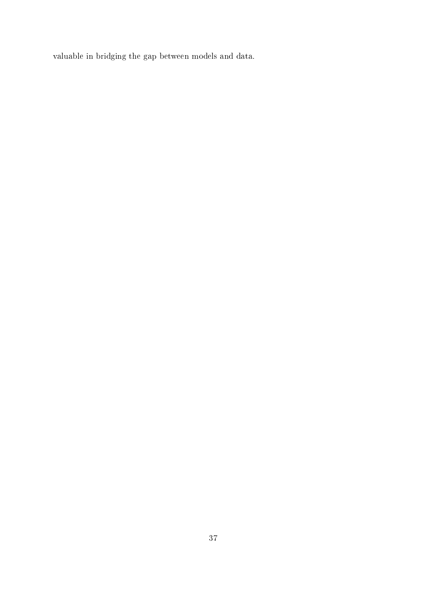valuable in bridging the gap between models and data.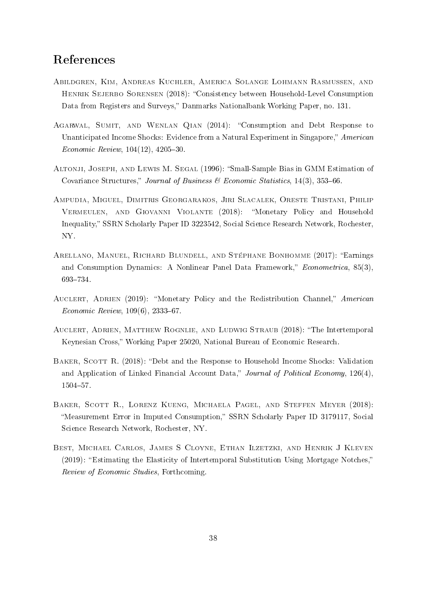## References

- <span id="page-38-7"></span>Abildgren, Kim, Andreas Kuchler, America Solange Lohmann Rasmussen, and HENRIK SEJERBO SORENSEN (2018): "Consistency between Household-Level Consumption Data from Registers and Surveys," Danmarks Nationalbank Working Paper, no. 131.
- <span id="page-38-3"></span>AGARWAL, SUMIT, AND WENLAN QIAN (2014): "Consumption and Debt Response to Unanticipated Income Shocks: Evidence from a Natural Experiment in Singapore," American Economic Review,  $104(12)$ ,  $4205-30$ .
- <span id="page-38-4"></span>Altonji, Joseph, and Lewis M. Segal (1996): Small-Sample Bias in GMM Estimation of Covariance Structures," Journal of Business & Economic Statistics,  $14(3)$ ,  $353-66$ .
- <span id="page-38-2"></span>Ampudia, Miguel, Dimitris Georgarakos, Jiri Slacalek, Oreste Tristani, Philip Vermeulen, and Giovanni Violante (2018): Monetary Policy and Household Inequality," SSRN Scholarly Paper ID 3223542, Social Science Research Network, Rochester, NY.
- <span id="page-38-5"></span>ARELLANO, MANUEL, RICHARD BLUNDELL, AND STÉPHANE BONHOMME (2017): "Earnings and Consumption Dynamics: A Nonlinear Panel Data Framework,"  $Econometrica$ , 85(3), 693-734.
- <span id="page-38-0"></span>AUCLERT, ADRIEN (2019): "Monetary Policy and the Redistribution Channel," American  $Economic$   $Review, 109(6), 2333-67.$
- Auclert, Adrien, Matthew Rognlie, and Ludwig Straub (2018): The Intertemporal Keynesian Cross, Working Paper 25020, National Bureau of Economic Research.
- <span id="page-38-1"></span>BAKER, SCOTT R. (2018): "Debt and the Response to Household Income Shocks: Validation and Application of Linked Financial Account Data," Journal of Political Economy,  $126(4)$ , 1504-57.
- <span id="page-38-6"></span>Baker, Scott R., Lorenz Kueng, Michaela Pagel, and Steffen Meyer (2018): "Measurement Error in Imputed Consumption," SSRN Scholarly Paper ID 3179117, Social Science Research Network, Rochester, NY.
- <span id="page-38-8"></span>Best, Michael Carlos, James S Cloyne, Ethan Ilzetzki, and Henrik J Kleven (2019): "Estimating the Elasticity of Intertemporal Substitution Using Mortgage Notches," Review of Economic Studies, Forthcoming.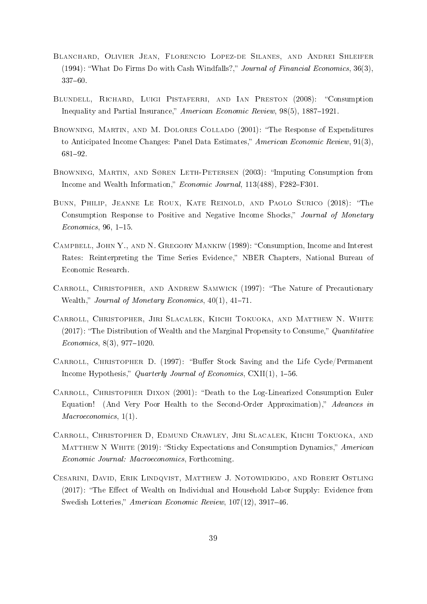- <span id="page-39-7"></span>Blanchard, Olivier Jean, Florencio Lopez-de Silanes, and Andrei Shleifer (1994): What Do Firms Do with Cash Windfalls?, Journal of Financial Economics, 36(3),  $337 - 60$ .
- <span id="page-39-0"></span>BLUNDELL, RICHARD, LUIGI PISTAFERRI, AND IAN PRESTON (2008): "Consumption Inequality and Partial Insurance," American Economic Review,  $98(5)$ ,  $1887-1921$ .
- <span id="page-39-2"></span>Browning, Martin, and M. Dolores Collado (2001): The Response of Expenditures to Anticipated Income Changes: Panel Data Estimates," American Economic Review, 91(3), 68192.
- <span id="page-39-6"></span>BROWNING, MARTIN, AND SØREN LETH-PETERSEN (2003): "Imputing Consumption from Income and Wealth Information," Economic Journal, 113(488), F282-F301.
- <span id="page-39-1"></span>Bunn, Philip, Jeanne Le Roux, Kate Reinold, and Paolo Surico (2018): The Consumption Response to Positive and Negative Income Shocks," Journal of Monetary  $Economics, 96, 1-15.$
- <span id="page-39-5"></span>CAMPBELL, JOHN Y., AND N. GREGORY MANKIW (1989): "Consumption, Income and Interest Rates: Reinterpreting the Time Series Evidence," NBER Chapters, National Bureau of Economic Research.
- <span id="page-39-4"></span>CARROLL, CHRISTOPHER, AND ANDREW SAMWICK (1997): "The Nature of Precautionary Wealth," Journal of Monetary Economics,  $40(1)$ ,  $41-71$ .
- <span id="page-39-3"></span>Carroll, Christopher, Jiri Slacalek, Kiichi Tokuoka, and Matthew N. White (2017): "The Distribution of Wealth and the Marginal Propensity to Consume," Quantitative  $Economics, 8(3), 977-1020.$
- CARROLL, CHRISTOPHER D. (1997): "Buffer Stock Saving and the Life Cycle/Permanent Income Hypothesis," Quarterly Journal of Economics,  $CXII(1)$ , 1–56.
- <span id="page-39-9"></span>CARROLL, CHRISTOPHER DIXON (2001): "Death to the Log-Linearized Consumption Euler Equation! (And Very Poor Health to the Second-Order Approximation)," Advances in Macroeconomics,  $1(1)$ .
- <span id="page-39-8"></span>Carroll, Christopher D, Edmund Crawley, Jiri Slacalek, Kiichi Tokuoka, and MATTHEW N WHITE (2019): "Sticky Expectations and Consumption Dynamics," American Economic Journal: Macroeconomics, Forthcoming.
- Cesarini, David, Erik Lindqvist, Matthew J. Notowidigdo, and Robert Ostling  $(2017)$ : "The Effect of Wealth on Individual and Household Labor Supply: Evidence from Swedish Lotteries," American Economic Review, 107(12), 3917-46.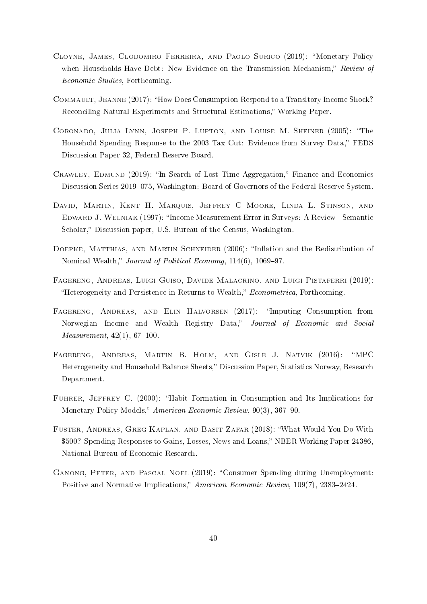- <span id="page-40-10"></span>CLOYNE, JAMES, CLODOMIRO FERREIRA, AND PAOLO SURICO (2019): "Monetary Policy when Households Have Debt: New Evidence on the Transmission Mechanism," Review of Economic Studies, Forthcoming.
- <span id="page-40-5"></span>Commault, Jeanne (2017): How Does Consumption Respond to a Transitory Income Shock? Reconciling Natural Experiments and Structural Estimations," Working Paper.
- <span id="page-40-4"></span>CORONADO, JULIA LYNN, JOSEPH P. LUPTON, AND LOUISE M. SHEINER (2005): "The Household Spending Response to the 2003 Tax Cut: Evidence from Survey Data," FEDS Discussion Paper 32, Federal Reserve Board.
- <span id="page-40-0"></span>CRAWLEY, EDMUND (2019): "In Search of Lost Time Aggregation," Finance and Economics Discussion Series 2019–075, Washington: Board of Governors of the Federal Reserve System.
- <span id="page-40-6"></span>David, Martin, Kent H. Marquis, Jeffrey C Moore, Linda L. Stinson, and EDWARD J. WELNIAK (1997): "Income Measurement Error in Surveys: A Review - Semantic Scholar," Discussion paper, U.S. Bureau of the Census, Washington.
- <span id="page-40-8"></span>DOEPKE, MATTHIAS, AND MARTIN SCHNEIDER (2006): "Inflation and the Redistribution of Nominal Wealth," Journal of Political Economy, 114(6), 1069-97.
- <span id="page-40-11"></span>Fagereng, Andreas, Luigi Guiso, Davide Malacrino, and Luigi Pistaferri (2019): "Heterogeneity and Persistence in Returns to Wealth," *Econometrica*, Forthcoming.
- <span id="page-40-7"></span>FAGERENG, ANDREAS, AND ELIN HALVORSEN (2017): "Imputing Consumption from Norwegian Income and Wealth Registry Data," Journal of Economic and Social *Measurement*,  $42(1)$ ,  $67-100$ .
- <span id="page-40-2"></span>FAGERENG, ANDREAS, MARTIN B. HOLM, AND GISLE J. NATVIK (2016): "MPC Heterogeneity and Household Balance Sheets," Discussion Paper, Statistics Norway, Research Department.
- <span id="page-40-9"></span>FUHRER, JEFFREY C. (2000): "Habit Formation in Consumption and Its Implications for Monetary-Policy Models," American Economic Review, 90(3), 367-90.
- <span id="page-40-3"></span>Fuster, Andreas, Greg Kaplan, and Basit Zafar (2018): What Would You Do With \$500? Spending Responses to Gains, Losses, News and Loans," NBER Working Paper 24386, National Bureau of Economic Research.
- <span id="page-40-1"></span>Ganong, Peter, and Pascal Noel (2019): Consumer Spending during Unemployment: Positive and Normative Implications," American Economic Review, 109(7), 2383-2424.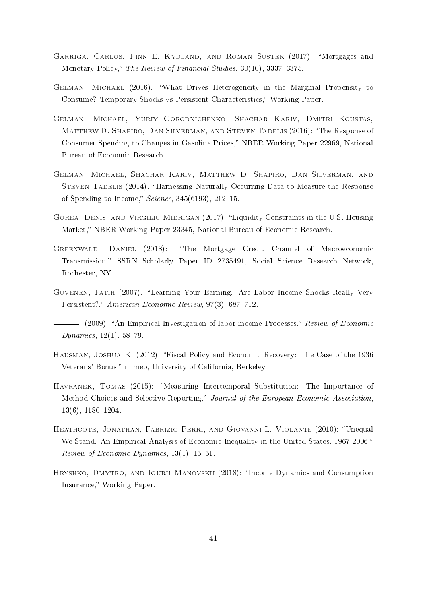- <span id="page-41-0"></span>GARRIGA, CARLOS, FINN E. KYDLAND, AND ROMAN SUSTEK (2017): "Mortgages and Monetary Policy," The Review of Financial Studies, 30(10), 3337-3375.
- <span id="page-41-3"></span>Gelman, Michael (2016): What Drives Heterogeneity in the Marginal Propensity to Consume? Temporary Shocks vs Persistent Characteristics," Working Paper.
- <span id="page-41-4"></span>Gelman, Michael, Yuriy Gorodnichenko, Shachar Kariv, Dmitri Koustas, MATTHEW D. SHAPIRO, DAN SILVERMAN, AND STEVEN TADELIS (2016): "The Response of Consumer Spending to Changes in Gasoline Prices," NBER Working Paper 22969, National Bureau of Economic Research.
- <span id="page-41-2"></span>Gelman, Michael, Shachar Kariv, Matthew D. Shapiro, Dan Silverman, and Steven Tadelis (2014): Harnessing Naturally Occurring Data to Measure the Response of Spending to Income,"  $Science$ ,  $345(6193)$ ,  $212-15$ .
- GOREA, DENIS, AND VIRGILIU MIDRIGAN (2017): "Liquidity Constraints in the U.S. Housing Market," NBER Working Paper 23345, National Bureau of Economic Research.
- <span id="page-41-1"></span>Greenwald, Daniel (2018): The Mortgage Credit Channel of Macroeconomic Transmission," SSRN Scholarly Paper ID 2735491, Social Science Research Network, Rochester, NY.
- <span id="page-41-10"></span>GUVENEN, FATIH (2007): "Learning Your Earning: Are Labor Income Shocks Really Very Persistent?," American Economic Review, 97(3), 687-712.
- <span id="page-41-9"></span>(2009): "An Empirical Investigation of labor income Processes," Review of Economic  $Dynamics, 12(1), 58–79.$
- <span id="page-41-5"></span>Hausman, Joshua K. (2012): Fiscal Policy and Economic Recovery: The Case of the 1936 Veterans' Bonus," mimeo, University of California, Berkeley.
- <span id="page-41-8"></span>HAVRANEK, TOMAS (2015): "Measuring Intertemporal Substitution: The Importance of Method Choices and Selective Reporting," Journal of the European Economic Association,  $13(6)$ ,  $1180-1204$ .
- <span id="page-41-7"></span>HEATHCOTE, JONATHAN, FABRIZIO PERRI, AND GIOVANNI L. VIOLANTE (2010): "Unequal We Stand: An Empirical Analysis of Economic Inequality in the United States, 1967-2006," Review of Economic Dynamics,  $13(1)$ ,  $15-51$ .
- <span id="page-41-6"></span>HRYSHKO, DMYTRO, AND IOURII MANOVSKII (2018): "Income Dynamics and Consumption Insurance," Working Paper.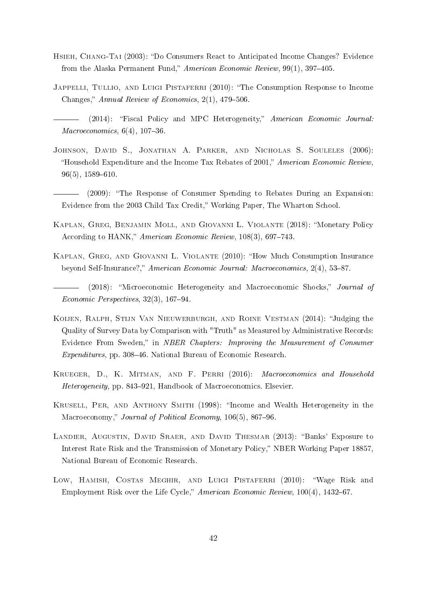- <span id="page-42-6"></span>HSIEH, CHANG-TAI (2003): "Do Consumers React to Anticipated Income Changes? Evidence from the Alaska Permanent Fund," American Economic Review, 99(1), 397-405.
- <span id="page-42-8"></span>JAPPELLI, TULLIO, AND LUIGI PISTAFERRI (2010): "The Consumption Response to Income Changes," Annual Review of Economics,  $2(1)$ ,  $479-506$ .
- <span id="page-42-5"></span>(2014): Fiscal Policy and MPC Heterogeneity, American Economic Journal:  $Macroeconomics, 6(4), 107-36.$
- <span id="page-42-4"></span>Johnson, David S., Jonathan A. Parker, and Nicholas S. Souleles (2006): "Household Expenditure and the Income Tax Rebates of 2001," American Economic Review,  $96(5)$ , 1589-610.
- <span id="page-42-7"></span>(2009): The Response of Consumer Spending to Rebates During an Expansion: Evidence from the 2003 Child Tax Credit," Working Paper, The Wharton School.
- <span id="page-42-0"></span>Kaplan, Greg, Benjamin Moll, and Giovanni L. Violante (2018): Monetary Policy According to HANK," American Economic Review, 108(3), 697-743.
- <span id="page-42-2"></span><span id="page-42-1"></span>KAPLAN, GREG, AND GIOVANNI L. VIOLANTE (2010): "How Much Consumption Insurance beyond Self-Insurance?," American Economic Journal: Macroeconomics, 2(4), 53-87.
	- (2018): "Microeconomic Heterogeneity and Macroeconomic Shocks," Journal of  $Economic$  Perspectives, 32(3), 167-94.
- <span id="page-42-10"></span>KOIJEN, RALPH, STIJN VAN NIEUWERBURGH, AND ROINE VESTMAN (2014): "Judging the Quality of Survey Data by Comparison with "Truth" as Measured by Administrative Records: Evidence From Sweden," in NBER Chapters: Improving the Measurement of Consumer Expenditures, pp. 308-46. National Bureau of Economic Research.
- Krueger, D., K. Mitman, and F. Perri (2016): Macroeconomics and Household Heterogeneity, pp. 843–921, Handbook of Macroeconomics. Elsevier.
- <span id="page-42-3"></span>Krusell, Per, and Anthony Smith (1998): Income and Wealth Heterogeneity in the Macroeconomy," Journal of Political Economy, 106(5), 867-96.
- <span id="page-42-11"></span>LANDIER, AUGUSTIN, DAVID SRAER, AND DAVID THESMAR (2013): "Banks' Exposure to Interest Rate Risk and the Transmission of Monetary Policy," NBER Working Paper 18857, National Bureau of Economic Research.
- <span id="page-42-9"></span>Low, HAMISH, COSTAS MEGHIR, AND LUIGI PISTAFERRI (2010): "Wage Risk and Employment Risk over the Life Cycle," American Economic Review,  $100(4)$ , 1432–67.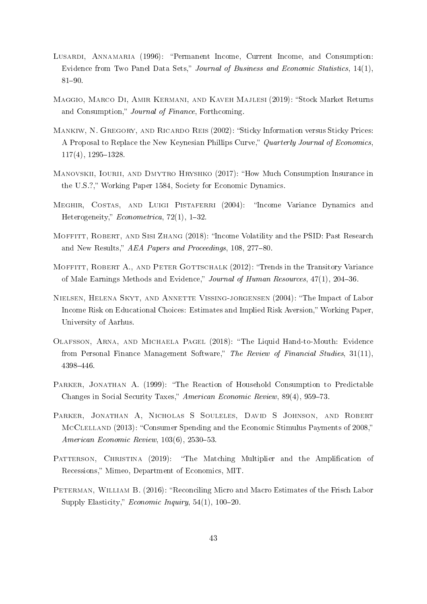- <span id="page-43-2"></span>LUSARDI, ANNAMARIA (1996): "Permanent Income, Current Income, and Consumption: Evidence from Two Panel Data Sets," Journal of Business and Economic Statistics,  $14(1)$ ,  $81 - 90.$
- <span id="page-43-9"></span>MAGGIO, MARCO DI, AMIR KERMANI, AND KAVEH MAJLESI (2019): "Stock Market Returns and Consumption," Journal of Finance, Forthcoming.
- <span id="page-43-11"></span>MANKIW, N. GREGORY, AND RICARDO REIS (2002): "Sticky Information versus Sticky Prices: A Proposal to Replace the New Keynesian Phillips Curve," Quarterly Journal of Economics,  $117(4)$ ,  $1295-1328$ .
- <span id="page-43-0"></span>Manovskii, Iourii, and Dmytro Hryshko (2017): How Much Consumption Insurance in the U.S.?," Working Paper 1584, Society for Economic Dynamics.
- <span id="page-43-6"></span>MEGHIR, COSTAS, AND LUIGI PISTAFERRI (2004): "Income Variance Dynamics and Heterogeneity,"  $Econometrica$ , 72(1), 1-32.
- <span id="page-43-8"></span>Moffitt, Robert, and Sisi Zhang (2018): Income Volatility and the PSID: Past Research and New Results," AEA Papers and Proceedings, 108, 277-80.
- <span id="page-43-5"></span>MOFFITT, ROBERT A., AND PETER GOTTSCHALK (2012): "Trends in the Transitory Variance of Male Earnings Methods and Evidence," Journal of Human Resources, 47(1), 204-36.
- <span id="page-43-7"></span>Nielsen, Helena Skyt, and Annette Vissing-jorgensen (2004): The Impact of Labor Income Risk on Educational Choices: Estimates and Implied Risk Aversion," Working Paper, University of Aarhus.
- <span id="page-43-1"></span>Olafsson, Arna, and Michaela Pagel (2018): The Liquid Hand-to-Mouth: Evidence from Personal Finance Management Software," The Review of Financial Studies, 31(11), 4398446.
- <span id="page-43-3"></span>PARKER, JONATHAN A. (1999): "The Reaction of Household Consumption to Predictable Changes in Social Security Taxes," American Economic Review, 89(4), 959–73.
- <span id="page-43-4"></span>PARKER, JONATHAN A, NICHOLAS S SOULELES, DAVID S JOHNSON, AND ROBERT MCCLELLAND (2013): "Consumer Spending and the Economic Stimulus Payments of 2008," American Economic Review,  $103(6)$ ,  $2530-53$ .
- <span id="page-43-10"></span>PATTERSON, CHRISTINA (2019): "The Matching Multiplier and the Amplification of Recessions," Mimeo, Department of Economics, MIT.
- PETERMAN, WILLIAM B. (2016): "Reconciling Micro and Macro Estimates of the Frisch Labor Supply Elasticity," *Economic Inquiry*,  $54(1)$ ,  $100-20$ .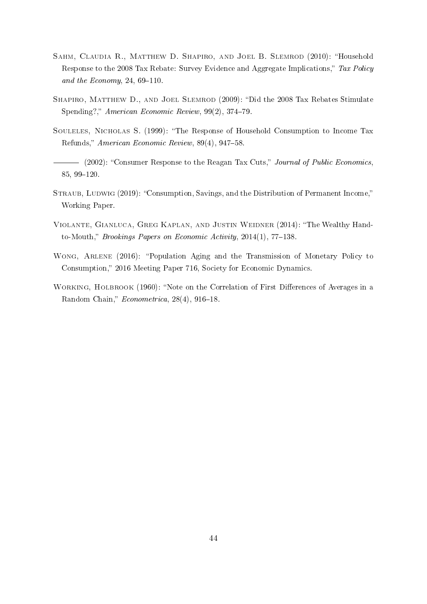- <span id="page-44-2"></span>Sahm, Claudia R., Matthew D. Shapiro, and Joel B. Slemrod (2010): Household Response to the 2008 Tax Rebate: Survey Evidence and Aggregate Implications," Tax Policy and the Economy, 24,  $69-110$ .
- <span id="page-44-3"></span>SHAPIRO, MATTHEW D., AND JOEL SLEMROD (2009): "Did the 2008 Tax Rebates Stimulate Spending?," American Economic Review,  $99(2)$ ,  $374-79$ .
- <span id="page-44-4"></span>SOULELES, NICHOLAS S. (1999): "The Response of Household Consumption to Income Tax Refunds," American Economic Review, 89(4), 947–58.
- <span id="page-44-5"></span>(2002): "Consumer Response to the Reagan Tax Cuts," Journal of Public Economics, 85, 99-120.
- STRAUB, LUDWIG (2019): "Consumption, Savings, and the Distribution of Permanent Income," Working Paper.
- <span id="page-44-0"></span>Violante, Gianluca, Greg Kaplan, and Justin Weidner (2014): The Wealthy Handto-Mouth," Brookings Papers on Economic Activity,  $2014(1)$ , 77-138.
- <span id="page-44-1"></span>WONG, ARLENE (2016): "Population Aging and the Transmission of Monetary Policy to Consumption," 2016 Meeting Paper 716, Society for Economic Dynamics.
- <span id="page-44-6"></span>WORKING, HOLBROOK (1960): "Note on the Correlation of First Differences of Averages in a Random Chain,"  $Econometrica$ , 28(4), 916-18.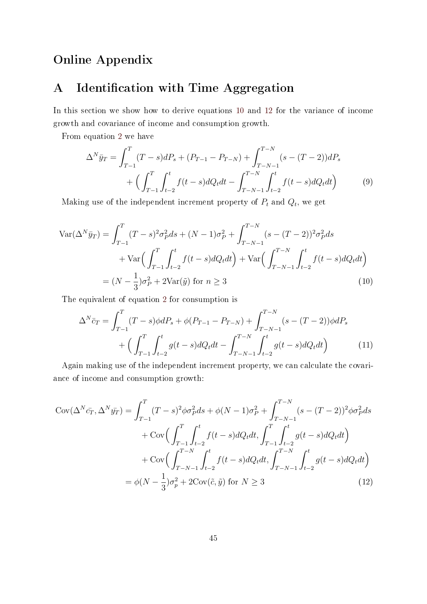## Online Appendix

## <span id="page-45-0"></span>A Identification with Time Aggregation

In this section we show how to derive equations [10](#page-45-1) and [12](#page-45-2) for the variance of income growth and covariance of income and consumption growth.

From equation [2](#page-11-2) we have

$$
\Delta^N \bar{y}_T = \int_{T-1}^T (T-s) dP_s + (P_{T-1} - P_{T-N}) + \int_{T-N-1}^{T-N} (s - (T-2)) dP_s
$$
  
+ 
$$
\left( \int_{T-1}^T \int_{t-2}^t f(t-s) dQ_t dt - \int_{T-N-1}^{T-N} \int_{t-2}^t f(t-s) dQ_t dt \right)
$$
(9)

Making use of the independent increment property of  $P_t$  and  $Q_t$ , we get

$$
\operatorname{Var}(\Delta^N \bar{y}_T) = \int_{T-1}^T (T-s)^2 \sigma_P^2 ds + (N-1)\sigma_P^2 + \int_{T-N-1}^{T-N} (s - (T-2))^2 \sigma_P^2 ds
$$
  
+ 
$$
\operatorname{Var}\left(\int_{T-1}^T \int_{t-2}^t f(t-s) dQ_t dt\right) + \operatorname{Var}\left(\int_{T-N-1}^{T-N} \int_{t-2}^t f(t-s) dQ_t dt\right)
$$
  
= 
$$
(N - \frac{1}{3})\sigma_P^2 + 2\operatorname{Var}(\tilde{y}) \text{ for } n \ge 3
$$
 (10)

The equivalent of equation [2](#page-11-2) for consumption is

<span id="page-45-1"></span>
$$
\Delta^N \bar{c}_T = \int_{T-1}^T (T-s)\phi dP_s + \phi (P_{T-1} - P_{T-N}) + \int_{T-N-1}^{T-N} (s - (T-2))\phi dP_s
$$
  
+ 
$$
\Big(\int_{T-1}^T \int_{t-2}^t g(t-s) dQ_t dt - \int_{T-N-1}^{T-N} \int_{t-2}^t g(t-s) dQ_t dt\Big) \tag{11}
$$

Again making use of the independent increment property, we can calculate the covariance of income and consumption growth:

<span id="page-45-2"></span>
$$
Cov(\Delta^N \bar{c}_T, \Delta^N \bar{y}_T) = \int_{T-1}^T (T-s)^2 \phi \sigma_P^2 ds + \phi(N-1) \sigma_P^2 + \int_{T-N-1}^{T-N} (s - (T-2))^2 \phi \sigma_P^2 ds
$$
  
+ 
$$
Cov\Big(\int_{T-1}^T \int_{t-2}^t f(t-s) dQ_t dt, \int_{T-1}^T \int_{t-2}^t g(t-s) dQ_t dt\Big)
$$
  
+ 
$$
Cov\Big(\int_{T-N-1}^{T-N} \int_{t-2}^t f(t-s) dQ_t dt, \int_{T-N-1}^{T-N} \int_{t-2}^t g(t-s) dQ_t dt\Big)
$$
  
= 
$$
\phi(N - \frac{1}{3}) \sigma_p^2 + 2Cov(\tilde{c}, \tilde{y}) \text{ for } N \ge 3
$$
(12)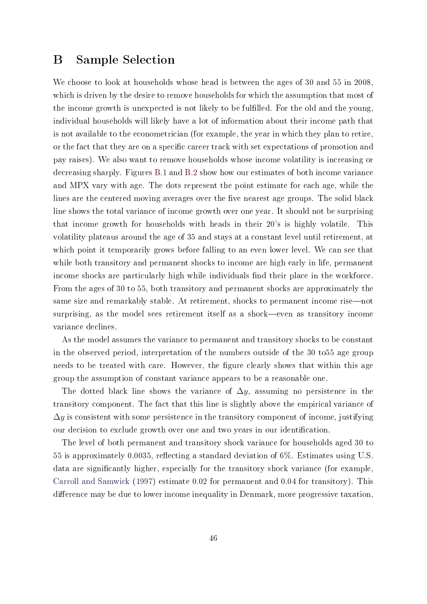### <span id="page-46-0"></span>B Sample Selection

We choose to look at households whose head is between the ages of 30 and 55 in 2008, which is driven by the desire to remove households for which the assumption that most of the income growth is unexpected is not likely to be fullled. For the old and the young, individual households will likely have a lot of information about their income path that is not available to the econometrician (for example, the year in which they plan to retire, or the fact that they are on a specific career track with set expectations of promotion and pay raises). We also want to remove households whose income volatility is increasing or decreasing sharply. Figures [B.1](#page-47-1) and [B.2](#page-48-0) show how our estimates of both income variance and MPX vary with age. The dots represent the point estimate for each age, while the lines are the centered moving averages over the five nearest age groups. The solid black line shows the total variance of income growth over one year. It should not be surprising that income growth for households with heads in their 20's is highly volatile. This volatility plateaus around the age of 35 and stays at a constant level until retirement, at which point it temporarily grows before falling to an even lower level. We can see that while both transitory and permanent shocks to income are high early in life, permanent income shocks are particularly high while individuals find their place in the workforce. From the ages of 30 to 55, both transitory and permanent shocks are approximately the same size and remarkably stable. At retirement, shocks to permanent income rise—not surprising, as the model sees retirement itself as a shock—even as transitory income variance declines.

As the model assumes the variance to permanent and transitory shocks to be constant in the observed period, interpretation of the numbers outside of the 30 to55 age group needs to be treated with care. However, the figure clearly shows that within this age group the assumption of constant variance appears to be a reasonable one.

The dotted black line shows the variance of  $\Delta y$ , assuming no persistence in the transitory component. The fact that this line is slightly above the empirical variance of  $\Delta y$  is consistent with some persistence in the transitory component of income, justifying our decision to exclude growth over one and two years in our identication.

The level of both permanent and transitory shock variance for households aged 30 to 55 is approximately 0.0035, reflecting a standard deviation of 6%. Estimates using U.S. data are signicantly higher, especially for the transitory shock variance (for example, [Carroll and Samwick](#page-39-4) [\(1997\)](#page-39-4) estimate 0.02 for permanent and 0.04 for transitory). This difference may be due to lower income inequality in Denmark, more progressive taxation.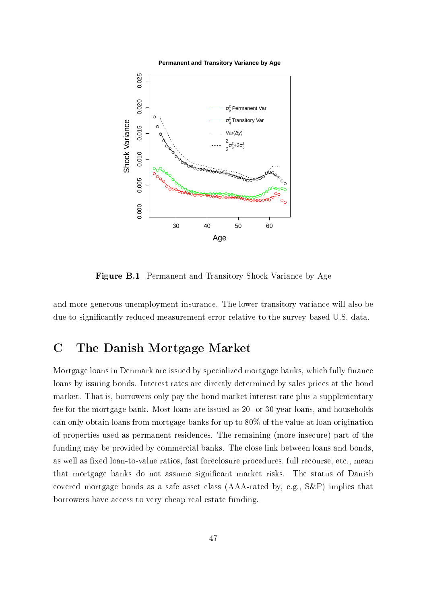#### **Permanent and Transitory Variance by Age**

<span id="page-47-1"></span>

Figure B.1 Permanent and Transitory Shock Variance by Age

<span id="page-47-0"></span>and more generous unemployment insurance. The lower transitory variance will also be due to significantly reduced measurement error relative to the survey-based U.S. data.

## C The Danish Mortgage Market

Mortgage loans in Denmark are issued by specialized mortgage banks, which fully finance loans by issuing bonds. Interest rates are directly determined by sales prices at the bond market. That is, borrowers only pay the bond market interest rate plus a supplementary fee for the mortgage bank. Most loans are issued as 20- or 30-year loans, and households can only obtain loans from mortgage banks for up to 80% of the value at loan origination of properties used as permanent residences. The remaining (more insecure) part of the funding may be provided by commercial banks. The close link between loans and bonds, as well as fixed loan-to-value ratios, fast foreclosure procedures, full recourse, etc., mean that mortgage banks do not assume signicant market risks. The status of Danish covered mortgage bonds as a safe asset class (AAA-rated by, e.g., S&P) implies that borrowers have access to very cheap real estate funding.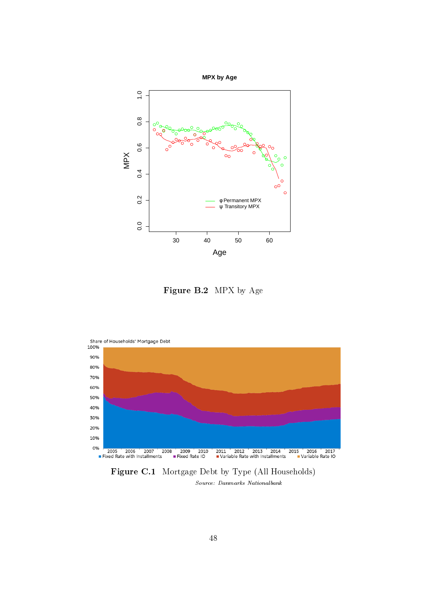<span id="page-48-0"></span>

Figure B.2 MPX by Age

<span id="page-48-1"></span>

Figure C.1 Mortgage Debt by Type (All Households) Source: Danmarks Nationalbank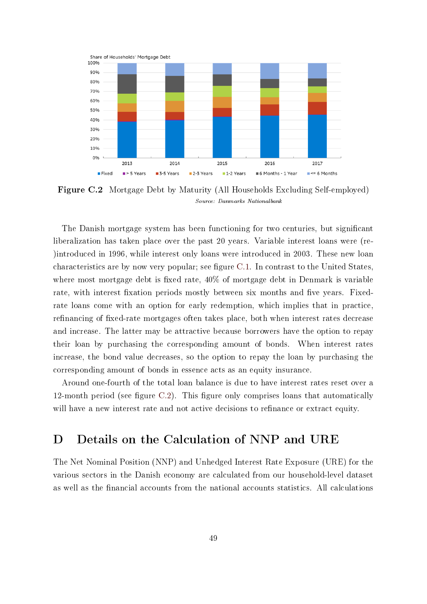<span id="page-49-1"></span>

Figure C.2 Mortgage Debt by Maturity (All Households Excluding Self-employed) Source: Danmarks Nationalbank

The Danish mortgage system has been functioning for two centuries, but signicant liberalization has taken place over the past 20 years. Variable interest loans were (re- )introduced in 1996, while interest only loans were introduced in 2003. These new loan characteristics are by now very popular; see figure  $C.1$ . In contrast to the United States, where most mortgage debt is fixed rate,  $40\%$  of mortgage debt in Denmark is variable rate, with interest fixation periods mostly between six months and five years. Fixedrate loans come with an option for early redemption, which implies that in practice, refinancing of fixed-rate mortgages often takes place, both when interest rates decrease and increase. The latter may be attractive because borrowers have the option to repay their loan by purchasing the corresponding amount of bonds. When interest rates increase, the bond value decreases, so the option to repay the loan by purchasing the corresponding amount of bonds in essence acts as an equity insurance.

Around one-fourth of the total loan balance is due to have interest rates reset over a 12-month period (see figure  $C.2$ ). This figure only comprises loans that automatically will have a new interest rate and not active decisions to refinance or extract equity.

## <span id="page-49-0"></span>D Details on the Calculation of NNP and URE

The Net Nominal Position (NNP) and Unhedged Interest Rate Exposure (URE) for the various sectors in the Danish economy are calculated from our household-level dataset as well as the financial accounts from the national accounts statistics. All calculations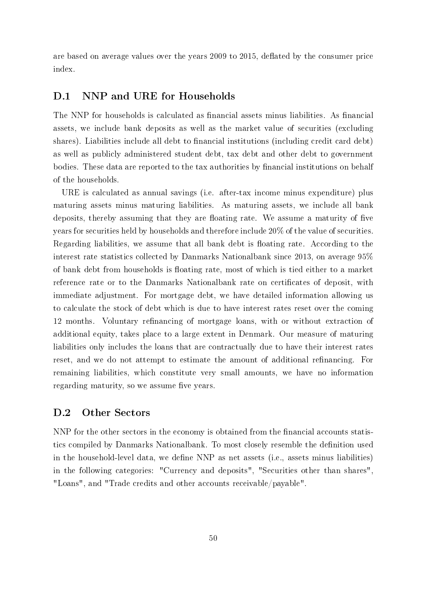are based on average values over the years 2009 to 2015, deflated by the consumer price index.

### D.1 NNP and URE for Households

The NNP for households is calculated as financial assets minus liabilities. As financial assets, we include bank deposits as well as the market value of securities (excluding shares). Liabilities include all debt to financial institutions (including credit card debt) as well as publicly administered student debt, tax debt and other debt to government bodies. These data are reported to the tax authorities by financial institutions on behalf of the households.

URE is calculated as annual savings (i.e. after-tax income minus expenditure) plus maturing assets minus maturing liabilities. As maturing assets, we include all bank deposits, thereby assuming that they are floating rate. We assume a maturity of five years for securities held by households and therefore include 20% of the value of securities. Regarding liabilities, we assume that all bank debt is floating rate. According to the interest rate statistics collected by Danmarks Nationalbank since 2013, on average 95% of bank debt from households is floating rate, most of which is tied either to a market reference rate or to the Danmarks Nationalbank rate on certificates of deposit, with immediate adjustment. For mortgage debt, we have detailed information allowing us to calculate the stock of debt which is due to have interest rates reset over the coming 12 months. Voluntary refinancing of mortgage loans, with or without extraction of additional equity, takes place to a large extent in Denmark. Our measure of maturing liabilities only includes the loans that are contractually due to have their interest rates reset, and we do not attempt to estimate the amount of additional refinancing. For remaining liabilities, which constitute very small amounts, we have no information regarding maturity, so we assume five years.

### D.2 Other Sectors

NNP for the other sectors in the economy is obtained from the financial accounts statistics compiled by Danmarks Nationalbank. To most closely resemble the definition used in the household-level data, we define NNP as net assets (i.e., assets minus liabilities) in the following categories: "Currency and deposits", "Securities other than shares", "Loans", and "Trade credits and other accounts receivable/payable".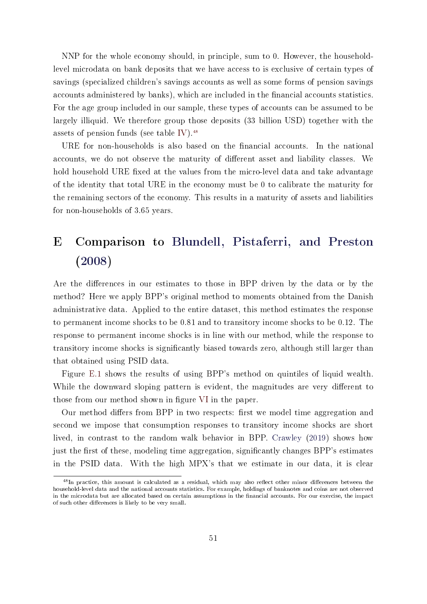NNP for the whole economy should, in principle, sum to 0. However, the householdlevel microdata on bank deposits that we have access to is exclusive of certain types of savings (specialized children's savings accounts as well as some forms of pension savings accounts administered by banks), which are included in the financial accounts statistics. For the age group included in our sample, these types of accounts can be assumed to be largely illiquid. We therefore group those deposits (33 billion USD) together with the assets of pension funds (see table [IV\)](#page-30-0).<sup>[48](#page-51-1)</sup>

URE for non-households is also based on the nancial accounts. In the national accounts, we do not observe the maturity of different asset and liability classes. We hold household URE fixed at the values from the micro-level data and take advantage of the identity that total URE in the economy must be 0 to calibrate the maturity for the remaining sectors of the economy. This results in a maturity of assets and liabilities for non-households of 3.65 years.

# <span id="page-51-0"></span>E Comparison to [Blundell, Pistaferri, and Preston](#page-39-0) [\(2008\)](#page-39-0)

Are the differences in our estimates to those in BPP driven by the data or by the method? Here we apply BPP's original method to moments obtained from the Danish administrative data. Applied to the entire dataset, this method estimates the response to permanent income shocks to be 0.81 and to transitory income shocks to be 0.12. The response to permanent income shocks is in line with our method, while the response to transitory income shocks is signicantly biased towards zero, although still larger than that obtained using PSID data.

Figure [E.1](#page-52-1) shows the results of using BPP's method on quintiles of liquid wealth. While the downward sloping pattern is evident, the magnitudes are very different to those from our method shown in figure [VI](#page-22-0) in the paper.

Our method differs from BPP in two respects: first we model time aggregation and second we impose that consumption responses to transitory income shocks are short lived, in contrast to the random walk behavior in BPP. [Crawley](#page-40-0) [\(2019\)](#page-40-0) shows how just the first of these, modeling time aggregation, significantly changes BPP's estimates in the PSID data. With the high MPX's that we estimate in our data, it is clear

<span id="page-51-1"></span> $^{48}$ In practice, this amount is calculated as a residual, which may also reflect other minor differences between the household-level data and the national accounts statistics. For example, holdings of banknotes and coins are not observed in the microdata but are allocated based on certain assumptions in the financial accounts. For our exercise, the impact of such other differences is likely to be very small.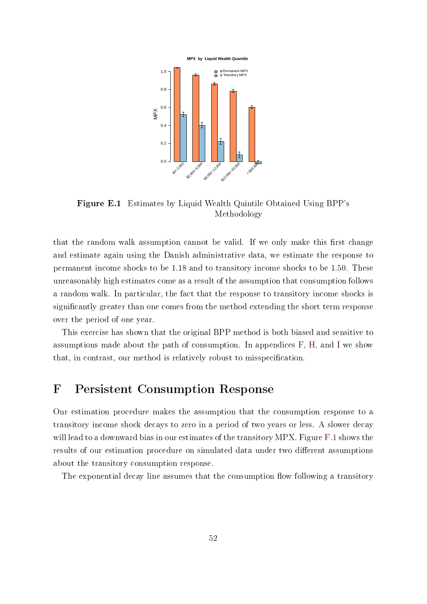<span id="page-52-1"></span>

Figure E.1 Estimates by Liquid Wealth Quintile Obtained Using BPP's Methodology

that the random walk assumption cannot be valid. If we only make this first change and estimate again using the Danish administrative data, we estimate the response to permanent income shocks to be 1.18 and to transitory income shocks to be 1.50. These unreasonably high estimates come as a result of the assumption that consumption follows a random walk. In particular, the fact that the response to transitory income shocks is signicantly greater than one comes from the method extending the short term response over the period of one year.

This exercise has shown that the original BPP method is both biased and sensitive to assumptions made about the path of consumption. In appendices [F,](#page-52-0) [H,](#page-58-0) and [I](#page-60-0) we show that, in contrast, our method is relatively robust to misspecification.

## <span id="page-52-0"></span>F Persistent Consumption Response

Our estimation procedure makes the assumption that the consumption response to a transitory income shock decays to zero in a period of two years or less. A slower decay will lead to a downward bias in our estimates of the transitory MPX. Figure [F.1](#page-54-0) shows the results of our estimation procedure on simulated data under two different assumptions about the transitory consumption response.

The exponential decay line assumes that the consumption flow following a transitory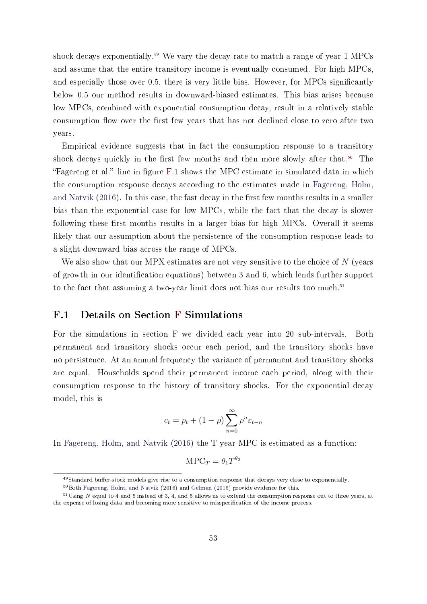shock decays exponentially.<sup>[49](#page-53-0)</sup> We vary the decay rate to match a range of year 1 MPCs and assume that the entire transitory income is eventually consumed. For high MPCs, and especially those over 0.5, there is very little bias. However, for MPCs signicantly below 0.5 our method results in downward-biased estimates. This bias arises because low MPCs, combined with exponential consumption decay, result in a relatively stable consumption flow over the first few years that has not declined close to zero after two years.

Empirical evidence suggests that in fact the consumption response to a transitory shock decays quickly in the first few months and then more slowly after that.<sup>[50](#page-53-1)</sup> The "Fagereng et al." line in figure [F.1](#page-54-0) shows the MPC estimate in simulated data in which the consumption response decays according to the estimates made in [Fagereng, Holm,](#page-40-2) [and Natvik](#page-40-2)  $(2016)$ . In this case, the fast decay in the first few months results in a smaller bias than the exponential case for low MPCs, while the fact that the decay is slower following these first months results in a larger bias for high MPCs. Overall it seems likely that our assumption about the persistence of the consumption response leads to a slight downward bias across the range of MPCs.

We also show that our MPX estimates are not very sensitive to the choice of  $N$  (years of growth in our identification equations) between 3 and 6, which lends further support to the fact that assuming a two-year limit does not bias our results too much.<sup>[51](#page-53-2)</sup>

### F.1 Details on Section [F](#page-52-0) Simulations

For the simulations in section [F](#page-52-0) we divided each year into 20 sub-intervals. Both permanent and transitory shocks occur each period, and the transitory shocks have no persistence. At an annual frequency the variance of permanent and transitory shocks are equal. Households spend their permanent income each period, along with their consumption response to the history of transitory shocks. For the exponential decay model, this is

$$
c_t = p_t + (1 - \rho) \sum_{n=0}^{\infty} \rho^n \varepsilon_{t-n}
$$

In [Fagereng, Holm, and Natvik](#page-40-2) [\(2016\)](#page-40-2) the T year MPC is estimated as a function:

$$
\text{MPC}_T = \theta_1 T^{\theta_2}
$$

<span id="page-53-0"></span><sup>49</sup>Standard buffer-stock models give rise to a consumption response that decays very close to exponentially.

<span id="page-53-2"></span><span id="page-53-1"></span><sup>50</sup>Both [Fagereng, Holm, and Natvik](#page-40-2) [\(2016\)](#page-40-2) and [Gelman](#page-41-3) [\(2016\)](#page-41-3) provide evidence for this.

 $51$ Using N equal to 4 and 5 instead of 3, 4, and 5 allows us to extend the consumption response out to three years, at the expense of losing data and becoming more sensitive to misspecification of the income process.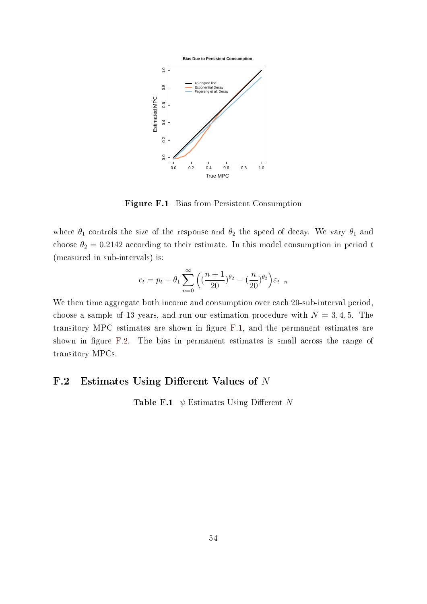<span id="page-54-0"></span>

Figure F.1 Bias from Persistent Consumption

where  $\theta_1$  controls the size of the response and  $\theta_2$  the speed of decay. We vary  $\theta_1$  and choose  $\theta_2 = 0.2142$  according to their estimate. In this model consumption in period t (measured in sub-intervals) is:

$$
c_t = p_t + \theta_1 \sum_{n=0}^{\infty} \left( \left( \frac{n+1}{20} \right)^{\theta_2} - \left( \frac{n}{20} \right)^{\theta_2} \right) \varepsilon_{t-n}
$$

We then time aggregate both income and consumption over each 20-sub-interval period, choose a sample of 13 years, and run our estimation procedure with  $N = 3, 4, 5$ . The transitory MPC estimates are shown in figure [F.1,](#page-54-0) and the permanent estimates are shown in figure [F.2.](#page-55-1) The bias in permanent estimates is small across the range of transitory MPCs.

### F.2 Estimates Using Different Values of  $N$

<span id="page-54-1"></span>**Table F.1**  $\psi$  Estimates Using Different N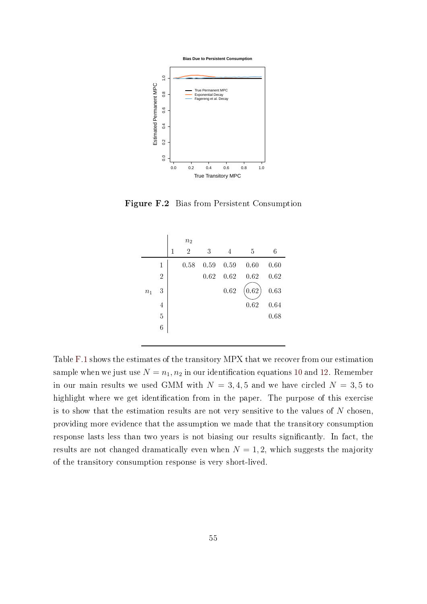

<span id="page-55-1"></span>

Figure F.2 Bias from Persistent Consumption

|       |                |   | n <sub>2</sub> |      |      |      |      |
|-------|----------------|---|----------------|------|------|------|------|
|       |                | 1 | $\overline{2}$ | 3    | 4    | 5    | 6    |
|       | $\mathbf{1}$   |   | 0.58           | 0.59 | 0.59 | 0.60 | 0.60 |
|       | $\overline{2}$ |   |                | 0.62 | 0.62 | 0.62 | 0.62 |
| $n_1$ | 3              |   |                |      | 0.62 | 0.62 | 0.63 |
|       | 4              |   |                |      |      | 0.62 | 0.64 |
|       | $\overline{5}$ |   |                |      |      |      | 0.68 |
|       | 6              |   |                |      |      |      |      |
|       |                |   |                |      |      |      |      |

<span id="page-55-0"></span>Table [F.1](#page-54-1) shows the estimates of the transitory MPX that we recover from our estimation sample when we just use  $N = n_1, n_2$  in our identification equations [10](#page-45-1) and [12.](#page-45-2) Remember in our main results we used GMM with  $N = 3, 4, 5$  and we have circled  $N = 3, 5$  to highlight where we get identification from in the paper. The purpose of this exercise is to show that the estimation results are not very sensitive to the values of  $N$  chosen, providing more evidence that the assumption we made that the transitory consumption response lasts less than two years is not biasing our results signicantly. In fact, the results are not changed dramatically even when  $N = 1, 2$ , which suggests the majority of the transitory consumption response is very short-lived.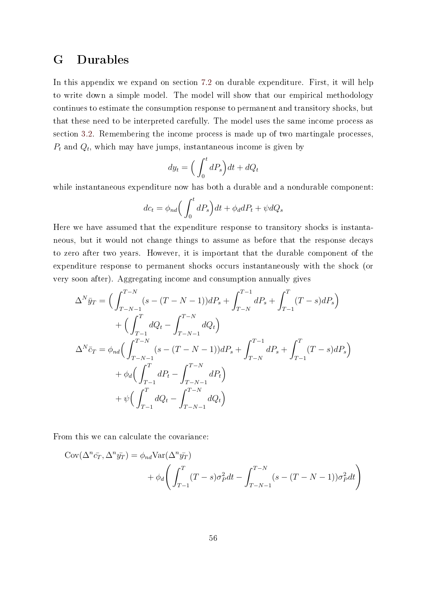### G Durables

In this appendix we expand on section [7.2](#page-35-0) on durable expenditure. First, it will help to write down a simple model. The model will show that our empirical methodology continues to estimate the consumption response to permanent and transitory shocks, but that these need to be interpreted carefully. The model uses the same income process as section [3.2.](#page-8-1) Remembering the income process is made up of two martingale processes,  $P_t$  and  $Q_t$ , which may have jumps, instantaneous income is given by

$$
dy_t = \left(\int_0^t dP_s\right)dt + dQ_t
$$

while instantaneous expenditure now has both a durable and a nondurable component:

$$
dc_t = \phi_{nd} \left( \int_0^t dP_s \right) dt + \phi_d dP_t + \psi dQ_s
$$

Here we have assumed that the expenditure response to transitory shocks is instantaneous, but it would not change things to assume as before that the response decays to zero after two years. However, it is important that the durable component of the expenditure response to permanent shocks occurs instantaneously with the shock (or very soon after). Aggregating income and consumption annually gives

$$
\Delta^N \bar{y}_T = \Big(\int_{T-N-1}^{T-N} (s - (T - N - 1))dP_s + \int_{T-N}^{T-1} dP_s + \int_{T-1}^T (T - s)dP_s\Big) \n+ \Big(\int_{T-1}^T dQ_t - \int_{T-N-1}^{T-N} dQ_t\Big) \n\Delta^N \bar{c}_T = \phi_{nd} \Big(\int_{T-N-1}^{T-N} (s - (T - N - 1))dP_s + \int_{T-N}^{T-1} dP_s + \int_{T-1}^T (T - s)dP_s\Big) \n+ \phi_d \Big(\int_{T-1}^T dP_t - \int_{T-N-1}^{T-N} dP_t\Big) \n+ \psi \Big(\int_{T-1}^T dQ_t - \int_{T-N-1}^{T-N} dQ_t\Big)
$$

From this we can calculate the covariance:

$$
Cov(\Delta^n \bar{c}_T, \Delta^n \bar{y}_T) = \phi_{nd} Var(\Delta^n \bar{y}_T)
$$
  
+  $\phi_d \left( \int_{T-1}^T (T-s) \sigma_P^2 dt - \int_{T-N-1}^{T-N} (s - (T-N-1)) \sigma_P^2 dt \right)$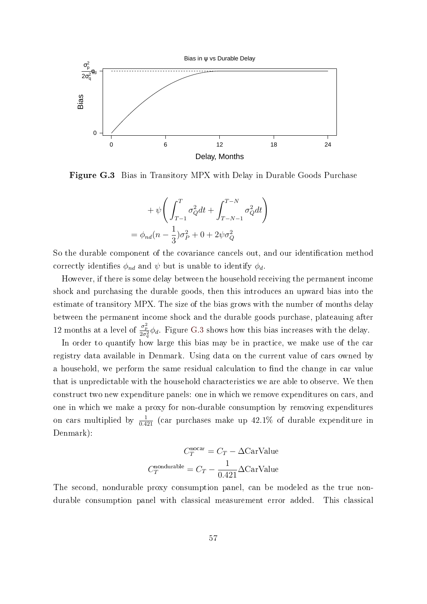<span id="page-57-0"></span>

Figure G.3 Bias in Transitory MPX with Delay in Durable Goods Purchase

$$
+\psi\bigg(\int_{T-1}^T\sigma_Q^2dt+\int_{T-N-1}^{T-N}\sigma_Q^2dt\bigg)
$$
  
=  $\phi_{nd}(n-\frac{1}{3})\sigma_P^2+0+2\psi\sigma_Q^2$ 

So the durable component of the covariance cancels out, and our identification method correctly identifies  $\phi_{nd}$  and  $\psi$  but is unable to identify  $\phi_d$ .

However, if there is some delay between the household receiving the permanent income shock and purchasing the durable goods, then this introduces an upward bias into the estimate of transitory MPX. The size of the bias grows with the number of months delay between the permanent income shock and the durable goods purchase, plateauing after 12 months at a level of  $\frac{\sigma_p^2}{2\sigma_q^2}\phi_d$ . Figure [G.3](#page-57-0) shows how this bias increases with the delay.

In order to quantify how large this bias may be in practice, we make use of the car registry data available in Denmark. Using data on the current value of cars owned by a household, we perform the same residual calculation to find the change in car value that is unpredictable with the household characteristics we are able to observe. We then construct two new expenditure panels: one in which we remove expenditures on cars, and one in which we make a proxy for non-durable consumption by removing expenditures on cars multiplied by  $\frac{1}{0.421}$  (car purchases make up 42.1% of durable expenditure in Denmark):

$$
C_T^{\text{nocar}} = C_T - \Delta \text{CarValue}
$$

$$
C_T^{\text{nondurable}} = C_T - \frac{1}{0.421} \Delta \text{CarValue}
$$

The second, nondurable proxy consumption panel, can be modeled as the true nondurable consumption panel with classical measurement error added. This classical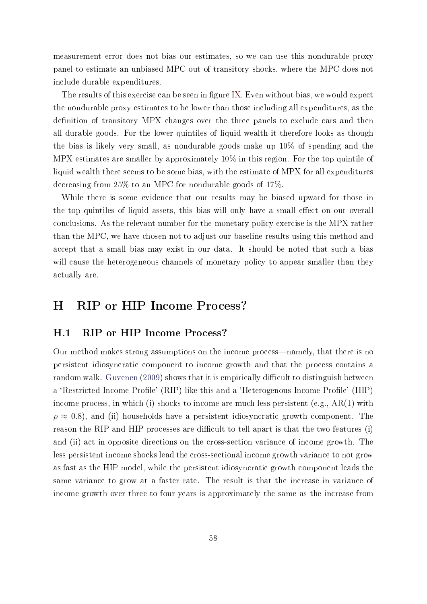measurement error does not bias our estimates, so we can use this nondurable proxy panel to estimate an unbiased MPC out of transitory shocks, where the MPC does not include durable expenditures.

The results of this exercise can be seen in figure [IX.](#page-36-0) Even without bias, we would expect the nondurable proxy estimates to be lower than those including all expenditures, as the definition of transitory MPX changes over the three panels to exclude cars and then all durable goods. For the lower quintiles of liquid wealth it therefore looks as though the bias is likely very small, as nondurable goods make up 10% of spending and the MPX estimates are smaller by approximately 10% in this region. For the top quintile of liquid wealth there seems to be some bias, with the estimate of MPX for all expenditures decreasing from 25% to an MPC for nondurable goods of 17%.

While there is some evidence that our results may be biased upward for those in the top quintiles of liquid assets, this bias will only have a small effect on our overall conclusions. As the relevant number for the monetary policy exercise is the MPX rather than the MPC, we have chosen not to adjust our baseline results using this method and accept that a small bias may exist in our data. It should be noted that such a bias will cause the heterogeneous channels of monetary policy to appear smaller than they actually are.

## <span id="page-58-0"></span>H RIP or HIP Income Process?

### H.1 RIP or HIP Income Process?

Our method makes strong assumptions on the income process—namely, that there is no persistent idiosyncratic component to income growth and that the process contains a random walk. [Guvenen](#page-41-9) [\(2009\)](#page-41-9) shows that it is empirically difficult to distinguish between a 'Restricted Income Profile' (RIP) like this and a 'Heterogenous Income Profile' (HIP) income process, in which (i) shocks to income are much less persistent (e.g., AR(1) with  $\rho \approx 0.8$ , and (ii) households have a persistent idiosyncratic growth component. The reason the RIP and HIP processes are difficult to tell apart is that the two features (i) and (ii) act in opposite directions on the cross-section variance of income growth. The less persistent income shocks lead the cross-sectional income growth variance to not grow as fast as the HIP model, while the persistent idiosyncratic growth component leads the same variance to grow at a faster rate. The result is that the increase in variance of income growth over three to four years is approximately the same as the increase from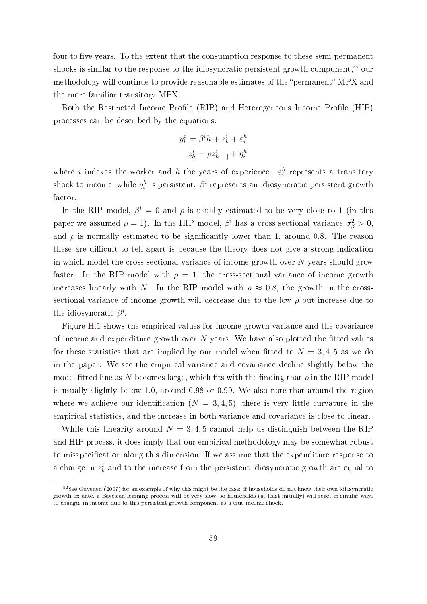four to five years. To the extent that the consumption response to these semi-permanent shocks is similar to the response to the idiosyncratic persistent growth component,<sup>[52](#page-59-0)</sup> our methodology will continue to provide reasonable estimates of the "permanent" MPX and the more familiar transitory MPX.

Both the Restricted Income Profile (RIP) and Heterogeneous Income Profile (HIP) processes can be described by the equations:

$$
y_h^i = \beta^i h + z_h^i + \varepsilon_i^h
$$

$$
z_h^i = \rho z_{h-1}^i + \eta_i^h
$$

where i indexes the worker and h the years of experience.  $\varepsilon_i^h$  represents a transitory shock to income, while  $\eta^h_i$  is persistent.  $\beta^i$  represents an idiosyncratic persistent growth factor.

In the RIP model,  $\beta^i = 0$  and  $\rho$  is usually estimated to be very close to 1 (in this paper we assumed  $\rho = 1$ ). In the HIP model,  $\beta^i$  has a cross-sectional variance  $\sigma_{\beta}^2 > 0$ , and  $\rho$  is normally estimated to be significantly lower than 1, around 0.8. The reason these are difficult to tell apart is because the theory does not give a strong indication in which model the cross-sectional variance of income growth over  $N$  years should grow faster. In the RIP model with  $\rho = 1$ , the cross-sectional variance of income growth increases linearly with N. In the RIP model with  $\rho \approx 0.8$ , the growth in the crosssectional variance of income growth will decrease due to the low  $\rho$  but increase due to the idiosyncratic  $\beta^i$ .

Figure [H.1](#page-60-1) shows the empirical values for income growth variance and the covariance of income and expenditure growth over  $N$  years. We have also plotted the fitted values for these statistics that are implied by our model when fitted to  $N = 3, 4, 5$  as we do in the paper. We see the empirical variance and covariance decline slightly below the model fitted line as N becomes large, which fits with the finding that  $\rho$  in the RIP model is usually slightly below 1.0, around 0.98 or 0.99. We also note that around the region where we achieve our identification  $(N = 3, 4, 5)$ , there is very little curvature in the empirical statistics, and the increase in both variance and covariance is close to linear.

While this linearity around  $N = 3, 4, 5$  cannot help us distinguish between the RIP and HIP process, it does imply that our empirical methodology may be somewhat robust to misspecification along this dimension. If we assume that the expenditure response to a change in  $z_h^i$  and to the increase from the persistent idiosyncratic growth are equal to

<span id="page-59-0"></span> $52$ See [Guvenen](#page-41-10) [\(2007\)](#page-41-10) for an example of why this might be the case: if households do not know their own idiosyncratic growth ex-ante, a Bayesian learning process will be very slow, so households (at least initially) will react in similar ways to changes in income due to this persistent growth component as a true income shock.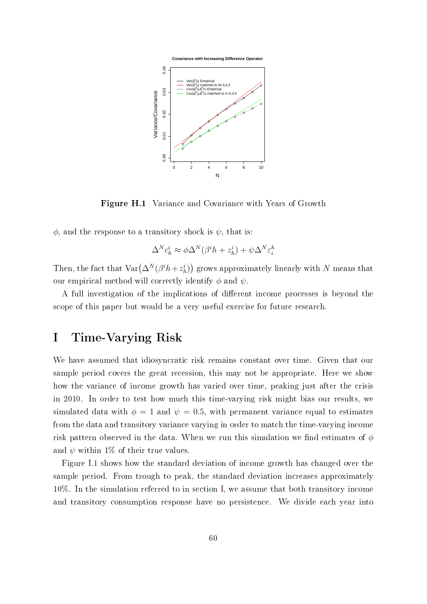<span id="page-60-1"></span>

Figure H.1 Variance and Covariance with Years of Growth

 $\phi$ , and the response to a transitory shock is  $\psi$ , that is:

$$
\Delta^N c_h^i \approx \phi \Delta^N (\beta^i h + z_h^i) + \psi \Delta^N \varepsilon_i^h
$$

Then, the fact that  $\text{Var}\big(\Delta^N(\beta^ih+z^i_h)\big)$  grows approximately linearly with  $N$  means that our empirical method will correctly identify  $\phi$  and  $\psi$ .

<span id="page-60-0"></span>A full investigation of the implications of different income processes is beyond the scope of this paper but would be a very useful exercise for future research.

## I Time-Varying Risk

We have assumed that idiosyncratic risk remains constant over time. Given that our sample period covers the great recession, this may not be appropriate. Here we show how the variance of income growth has varied over time, peaking just after the crisis in 2010. In order to test how much this time-varying risk might bias our results, we simulated data with  $\phi = 1$  and  $\psi = 0.5$ , with permanent variance equal to estimates from the data and transitory variance varying in order to match the time-varying income risk pattern observed in the data. When we run this simulation we find estimates of  $\phi$ and  $\psi$  within 1% of their true values.

Figure [I.1](#page-61-1) shows how the standard deviation of income growth has changed over the sample period. From trough to peak, the standard deviation increases approximately 10%. In the simulation referred to in section [I,](#page-60-0) we assume that both transitory income and transitory consumption response have no persistence. We divide each year into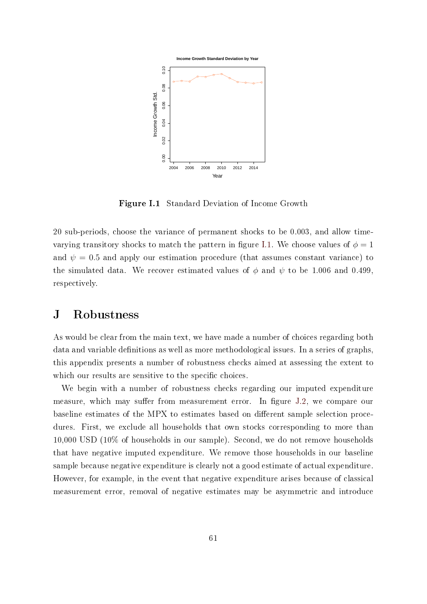<span id="page-61-1"></span>

Figure I.1 Standard Deviation of Income Growth

20 sub-periods, choose the variance of permanent shocks to be 0.003, and allow time-varying transitory shocks to match the pattern in figure [I.1.](#page-61-1) We choose values of  $\phi = 1$ and  $\psi = 0.5$  and apply our estimation procedure (that assumes constant variance) to the simulated data. We recover estimated values of  $\phi$  and  $\psi$  to be 1.006 and 0.499, respectively.

### <span id="page-61-0"></span>J Robustness

As would be clear from the main text, we have made a number of choices regarding both data and variable definitions as well as more methodological issues. In a series of graphs, this appendix presents a number of robustness checks aimed at assessing the extent to which our results are sensitive to the specific choices.

We begin with a number of robustness checks regarding our imputed expenditure measure, which may suffer from measurement error. In figure [J.2,](#page-62-0) we compare our baseline estimates of the MPX to estimates based on different sample selection procedures. First, we exclude all households that own stocks corresponding to more than 10,000 USD (10% of households in our sample). Second, we do not remove households that have negative imputed expenditure. We remove those households in our baseline sample because negative expenditure is clearly not a good estimate of actual expenditure. However, for example, in the event that negative expenditure arises because of classical measurement error, removal of negative estimates may be asymmetric and introduce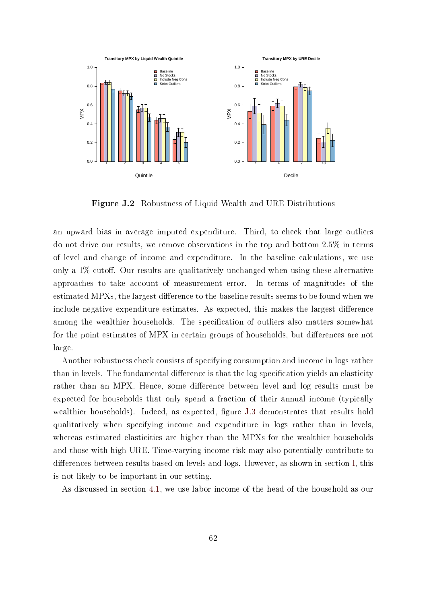<span id="page-62-0"></span>

Figure J.2 Robustness of Liquid Wealth and URE Distributions

an upward bias in average imputed expenditure. Third, to check that large outliers do not drive our results, we remove observations in the top and bottom 2.5% in terms of level and change of income and expenditure. In the baseline calculations, we use only a  $1\%$  cutoff. Our results are qualitatively unchanged when using these alternative approaches to take account of measurement error. In terms of magnitudes of the estimated MPXs, the largest difference to the baseline results seems to be found when we include negative expenditure estimates. As expected, this makes the largest difference among the wealthier households. The specification of outliers also matters somewhat for the point estimates of MPX in certain groups of households, but differences are not large.

Another robustness check consists of specifying consumption and income in logs rather than in levels. The fundamental difference is that the log specification vields an elasticity rather than an MPX. Hence, some difference between level and log results must be expected for households that only spend a fraction of their annual income (typically wealthier households). Indeed, as expected, figure [J.3](#page-63-1) demonstrates that results hold qualitatively when specifying income and expenditure in logs rather than in levels, whereas estimated elasticities are higher than the MPXs for the wealthier households and those with high URE. Time-varying income risk may also potentially contribute to differences between results based on levels and logs. However, as shown in section [I,](#page-60-0) this is not likely to be important in our setting.

As discussed in section [4.1,](#page-16-3) we use labor income of the head of the household as our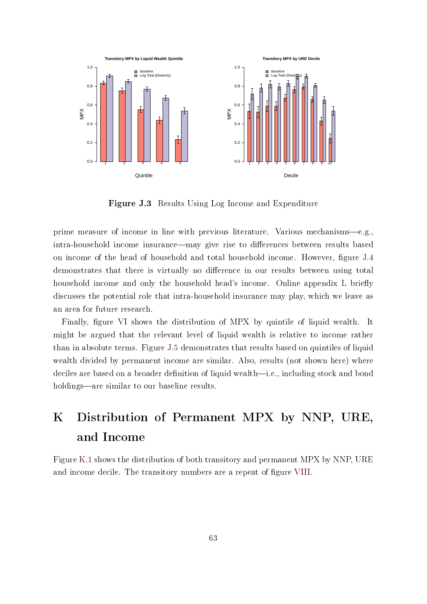<span id="page-63-1"></span>

Figure J.3 Results Using Log Income and Expenditure

prime measure of income in line with previous literature. Various mechanisms-e.g., intra-household income insurance—may give rise to differences between results based on income of the head of household and total household income. However, figure [J.4](#page-64-0) demonstrates that there is virtually no difference in our results between using total household income and only the household head's income. Online appendix [L](#page-63-2) briefly discusses the potential role that intra-household insurance may play, which we leave as an area for future research.

Finally, figure [VI](#page-22-0) shows the distribution of MPX by quintile of liquid wealth. It might be argued that the relevant level of liquid wealth is relative to income rather than in absolute terms. Figure [J.5](#page-64-1) demonstrates that results based on quintiles of liquid wealth divided by permanent income are similar. Also, results (not shown here) where deciles are based on a broader definition of liquid wealth—i.e., including stock and bond holdings—are similar to our baseline results.

# <span id="page-63-0"></span>K Distribution of Permanent MPX by NNP, URE, and Income

<span id="page-63-2"></span>Figure [K.1](#page-65-0) shows the distribution of both transitory and permanent MPX by NNP, URE and income decile. The transitory numbers are a repeat of figure [VIII.](#page-28-0)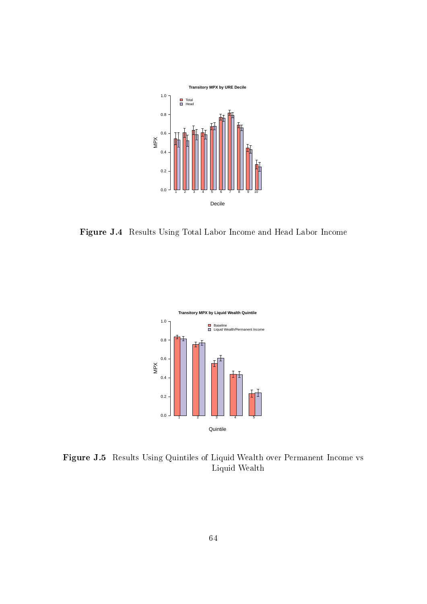<span id="page-64-0"></span>

<span id="page-64-1"></span>Figure J.4 Results Using Total Labor Income and Head Labor Income



Figure J.5 Results Using Quintiles of Liquid Wealth over Permanent Income vs Liquid Wealth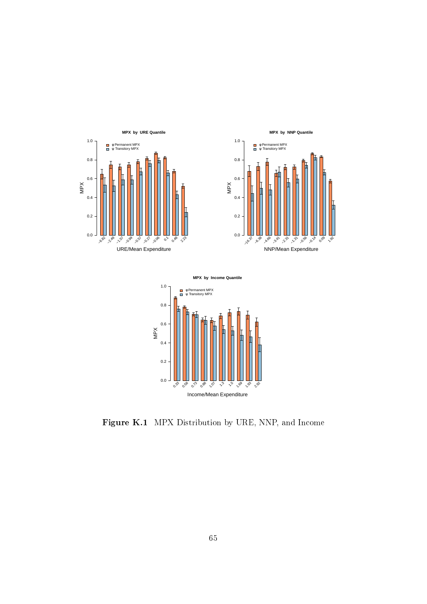<span id="page-65-0"></span>





Figure K.1 MPX Distribution by URE, NNP, and Income